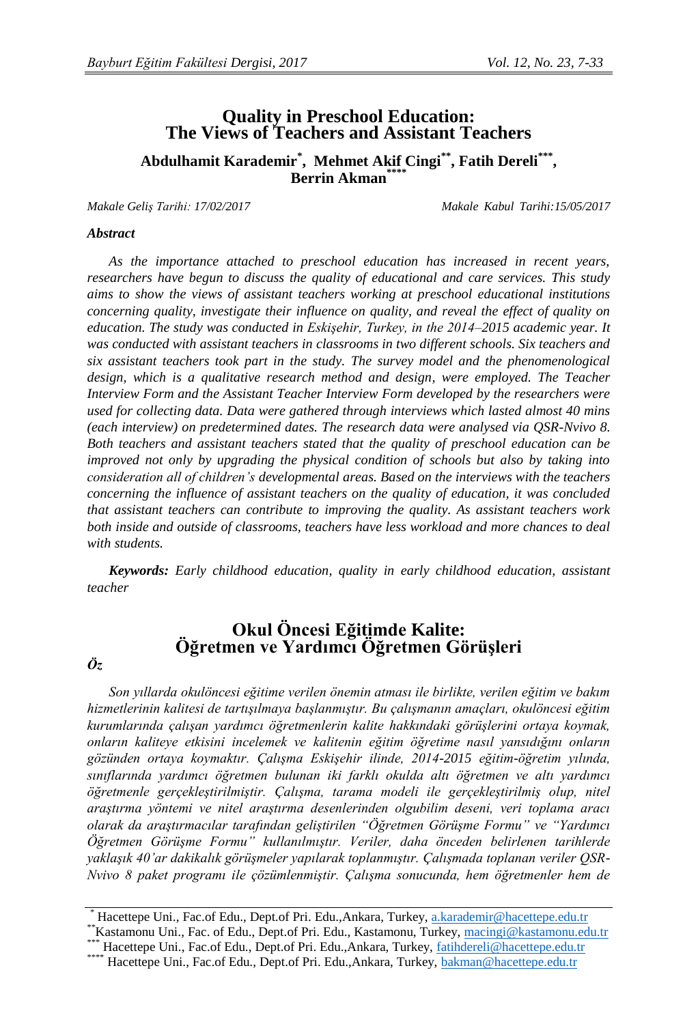# **Quality in Preschool Education: The Views of Teachers and Assistant Teachers**

**Abdulhamit Karademir\* , Mehmet Akif Cingi\*\* , Fatih Dereli\*\*\* , Berrin Akman\*\*\*\***

*Makale Geliş Tarihi: 17/02/2017 Makale Kabul Tarihi:15/05/2017*

#### *Abstract*

*As the importance attached to preschool education has increased in recent years, researchers have begun to discuss the quality of educational and care services. This study aims to show the views of assistant teachers working at preschool educational institutions concerning quality, investigate their influence on quality, and reveal the effect of quality on education. The study was conducted in Eskişehir, Turkey, in the 2014–2015 academic year. It was conducted with assistant teachers in classrooms in two different schools. Six teachers and six assistant teachers took part in the study. The survey model and the phenomenological design, which is a qualitative research method and design, were employed. The Teacher Interview Form and the Assistant Teacher Interview Form developed by the researchers were used for collecting data. Data were gathered through interviews which lasted almost 40 mins (each interview) on predetermined dates. The research data were analysed via QSR-Nvivo 8. Both teachers and assistant teachers stated that the quality of preschool education can be improved not only by upgrading the physical condition of schools but also by taking into consideration all of children's developmental areas. Based on the interviews with the teachers concerning the influence of assistant teachers on the quality of education, it was concluded that assistant teachers can contribute to improving the quality. As assistant teachers work both inside and outside of classrooms, teachers have less workload and more chances to deal with students.*

*Keywords: Early childhood education, quality in early childhood education, assistant teacher*

# **Okul Öncesi Eğitimde Kalite: Öğretmen ve Yardımcı Öğretmen Görüşleri**

#### *Öz*

*Son yıllarda okulöncesi eğitime verilen önemin atması ile birlikte, verilen eğitim ve bakım hizmetlerinin kalitesi de tartışılmaya başlanmıştır. Bu çalışmanın amaçları, okulöncesi eğitim kurumlarında çalışan yardımcı öğretmenlerin kalite hakkındaki görüşlerini ortaya koymak, onların kaliteye etkisini incelemek ve kalitenin eğitim öğretime nasıl yansıdığını onların gözünden ortaya koymaktır. Çalışma Eskişehir ilinde, 2014-2015 eğitim-öğretim yılında, sınıflarında yardımcı öğretmen bulunan iki farklı okulda altı öğretmen ve altı yardımcı öğretmenle gerçekleştirilmiştir. Çalışma, tarama modeli ile gerçekleştirilmiş olup, nitel araştırma yöntemi ve nitel araştırma desenlerinden olgubilim deseni, veri toplama aracı olarak da araştırmacılar tarafından geliştirilen "Öğretmen Görüşme Formu" ve "Yardımcı Öğretmen Görüşme Formu" kullanılmıştır. Veriler, daha önceden belirlenen tarihlerde yaklaşık 40'ar dakikalık görüşmeler yapılarak toplanmıştır. Çalışmada toplanan veriler QSR-Nvivo 8 paket programı ile çözümlenmiştir. Çalışma sonucunda, hem öğretmenler hem de* 

<sup>\*</sup> Hacettepe Uni., Fac.of Edu., Dept.of Pri. Edu.,Ankara, Turkey[, a.karademir@hacettepe.edu.tr](mailto:a.karademir@hacettepe.edu.tr)

<sup>\*\*</sup>Kastamonu Uni., Fac. of Edu., Dept.of Pri. Edu., Kastamonu, Turkey, [macingi@kastamonu.edu.tr](mailto:macingi@kastamonu.edu.tr)

<sup>\*\*\*</sup> Hacettepe Uni., Fac.of Edu., Dept.of Pri. Edu.,Ankara, Turkey, [fatihdereli@hacettepe.edu.tr](mailto:fatihdereli@hacettepe.edu.tr)

<sup>\*\*\*\*</sup> Hacettepe Uni., Fac.of Edu., Dept.of Pri. Edu.,Ankara, Turkey, [bakman@hacettepe.edu.tr](mailto:bakman@hacettepe.edu.tr)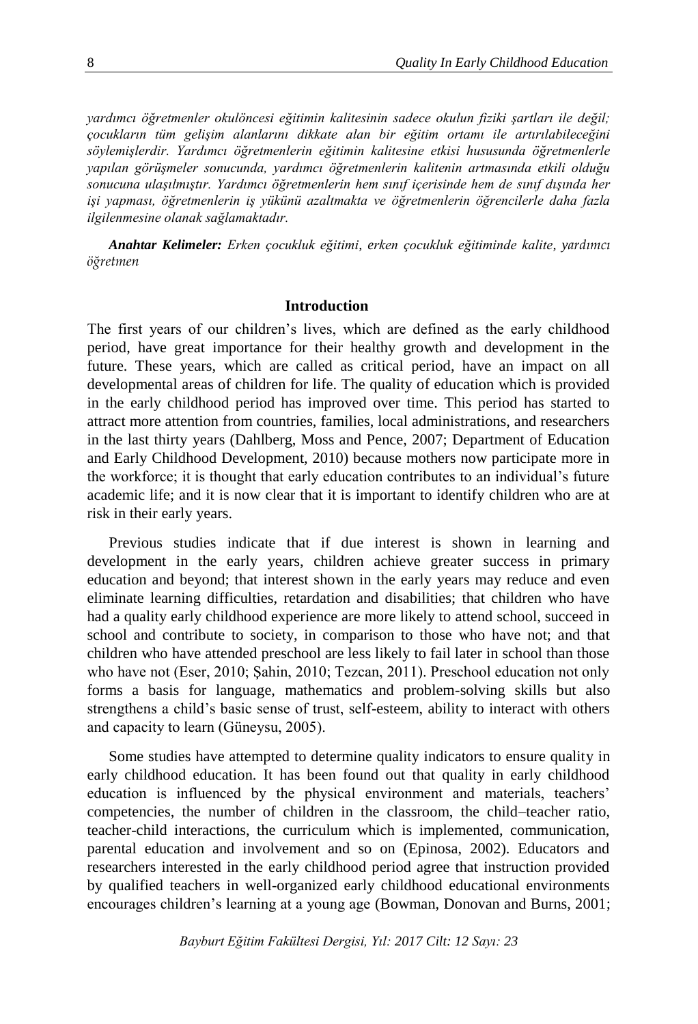*yardımcı öğretmenler okulöncesi eğitimin kalitesinin sadece okulun fiziki şartları ile değil; çocukların tüm gelişim alanlarını dikkate alan bir eğitim ortamı ile artırılabileceğini söylemişlerdir. Yardımcı öğretmenlerin eğitimin kalitesine etkisi hususunda öğretmenlerle yapılan görüşmeler sonucunda, yardımcı öğretmenlerin kalitenin artmasında etkili olduğu sonucuna ulaşılmıştır. Yardımcı öğretmenlerin hem sınıf içerisinde hem de sınıf dışında her işi yapması, öğretmenlerin iş yükünü azaltmakta ve öğretmenlerin öğrencilerle daha fazla ilgilenmesine olanak sağlamaktadır.*

*Anahtar Kelimeler: Erken çocukluk eğitimi, erken çocukluk eğitiminde kalite, yardımcı öğretmen*

#### **Introduction**

The first years of our children's lives, which are defined as the early childhood period, have great importance for their healthy growth and development in the future. These years, which are called as critical period, have an impact on all developmental areas of children for life. The quality of education which is provided in the early childhood period has improved over time. This period has started to attract more attention from countries, families, local administrations, and researchers in the last thirty years (Dahlberg, Moss and Pence, 2007; Department of Education and Early Childhood Development, 2010) because mothers now participate more in the workforce; it is thought that early education contributes to an individual's future academic life; and it is now clear that it is important to identify children who are at risk in their early years.

Previous studies indicate that if due interest is shown in learning and development in the early years, children achieve greater success in primary education and beyond; that interest shown in the early years may reduce and even eliminate learning difficulties, retardation and disabilities; that children who have had a quality early childhood experience are more likely to attend school, succeed in school and contribute to society, in comparison to those who have not; and that children who have attended preschool are less likely to fail later in school than those who have not (Eser, 2010; Şahin, 2010; Tezcan, 2011). Preschool education not only forms a basis for language, mathematics and problem-solving skills but also strengthens a child's basic sense of trust, self-esteem, ability to interact with others and capacity to learn (Güneysu, 2005).

Some studies have attempted to determine quality indicators to ensure quality in early childhood education. It has been found out that quality in early childhood education is influenced by the physical environment and materials, teachers' competencies, the number of children in the classroom, the child–teacher ratio, teacher-child interactions, the curriculum which is implemented, communication, parental education and involvement and so on (Epinosa, 2002). Educators and researchers interested in the early childhood period agree that instruction provided by qualified teachers in well-organized early childhood educational environments encourages children's learning at a young age (Bowman, Donovan and Burns, 2001;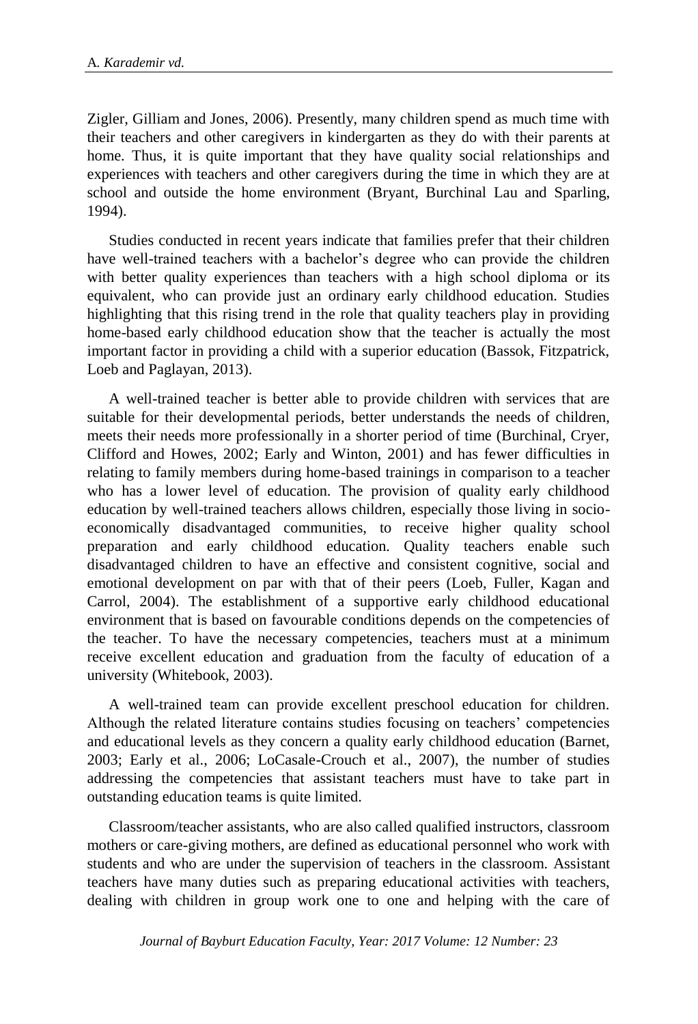Zigler, Gilliam and Jones, 2006). Presently, many children spend as much time with their teachers and other caregivers in kindergarten as they do with their parents at home. Thus, it is quite important that they have quality social relationships and experiences with teachers and other caregivers during the time in which they are at school and outside the home environment (Bryant, Burchinal Lau and Sparling, 1994).

Studies conducted in recent years indicate that families prefer that their children have well-trained teachers with a bachelor's degree who can provide the children with better quality experiences than teachers with a high school diploma or its equivalent, who can provide just an ordinary early childhood education. Studies highlighting that this rising trend in the role that quality teachers play in providing home-based early childhood education show that the teacher is actually the most important factor in providing a child with a superior education (Bassok, Fitzpatrick, Loeb and Paglayan, 2013).

A well-trained teacher is better able to provide children with services that are suitable for their developmental periods, better understands the needs of children, meets their needs more professionally in a shorter period of time (Burchinal, Cryer, Clifford and Howes, 2002; Early and Winton, 2001) and has fewer difficulties in relating to family members during home-based trainings in comparison to a teacher who has a lower level of education. The provision of quality early childhood education by well-trained teachers allows children, especially those living in socioeconomically disadvantaged communities, to receive higher quality school preparation and early childhood education. Quality teachers enable such disadvantaged children to have an effective and consistent cognitive, social and emotional development on par with that of their peers (Loeb, Fuller, Kagan and Carrol, 2004). The establishment of a supportive early childhood educational environment that is based on favourable conditions depends on the competencies of the teacher. To have the necessary competencies, teachers must at a minimum receive excellent education and graduation from the faculty of education of a university (Whitebook, 2003).

A well-trained team can provide excellent preschool education for children. Although the related literature contains studies focusing on teachers' competencies and educational levels as they concern a quality early childhood education (Barnet, 2003; Early et al., 2006; LoCasale-Crouch et al., 2007), the number of studies addressing the competencies that assistant teachers must have to take part in outstanding education teams is quite limited.

Classroom/teacher assistants, who are also called qualified instructors, classroom mothers or care-giving mothers, are defined as educational personnel who work with students and who are under the supervision of teachers in the classroom. Assistant teachers have many duties such as preparing educational activities with teachers, dealing with children in group work one to one and helping with the care of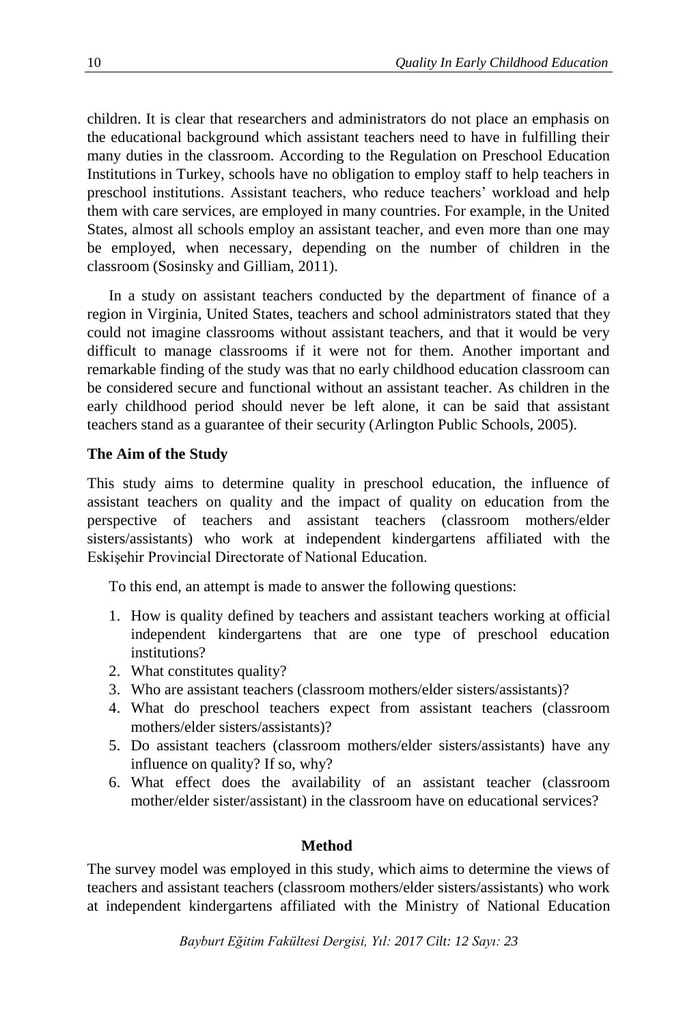children. It is clear that researchers and administrators do not place an emphasis on the educational background which assistant teachers need to have in fulfilling their many duties in the classroom. According to the Regulation on Preschool Education Institutions in Turkey, schools have no obligation to employ staff to help teachers in preschool institutions. Assistant teachers, who reduce teachers' workload and help them with care services, are employed in many countries. For example, in the United States, almost all schools employ an assistant teacher, and even more than one may be employed, when necessary, depending on the number of children in the classroom (Sosinsky and Gilliam, 2011).

In a study on assistant teachers conducted by the department of finance of a region in Virginia, United States, teachers and school administrators stated that they could not imagine classrooms without assistant teachers, and that it would be very difficult to manage classrooms if it were not for them. Another important and remarkable finding of the study was that no early childhood education classroom can be considered secure and functional without an assistant teacher. As children in the early childhood period should never be left alone, it can be said that assistant teachers stand as a guarantee of their security (Arlington Public Schools, 2005).

### **The Aim of the Study**

This study aims to determine quality in preschool education, the influence of assistant teachers on quality and the impact of quality on education from the perspective of teachers and assistant teachers (classroom mothers/elder sisters/assistants) who work at independent kindergartens affiliated with the Eskişehir Provincial Directorate of National Education.

To this end, an attempt is made to answer the following questions:

- 1. How is quality defined by teachers and assistant teachers working at official independent kindergartens that are one type of preschool education institutions?
- 2. What constitutes quality?
- 3. Who are assistant teachers (classroom mothers/elder sisters/assistants)?
- 4. What do preschool teachers expect from assistant teachers (classroom mothers/elder sisters/assistants)?
- 5. Do assistant teachers (classroom mothers/elder sisters/assistants) have any influence on quality? If so, why?
- 6. What effect does the availability of an assistant teacher (classroom mother/elder sister/assistant) in the classroom have on educational services?

### **Method**

The survey model was employed in this study, which aims to determine the views of teachers and assistant teachers (classroom mothers/elder sisters/assistants) who work at independent kindergartens affiliated with the Ministry of National Education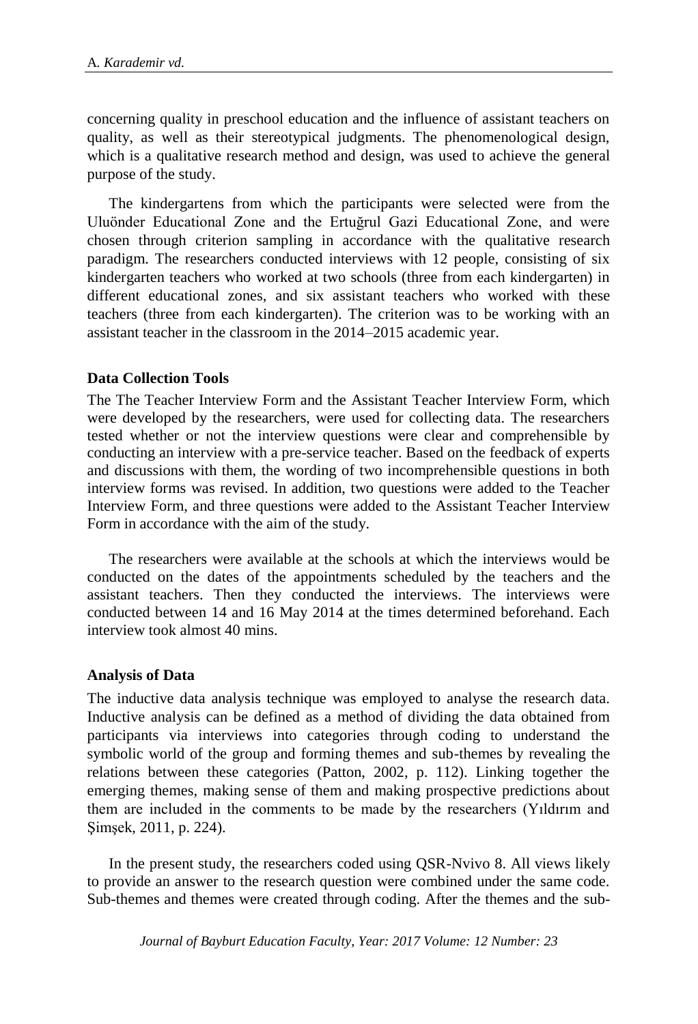concerning quality in preschool education and the influence of assistant teachers on quality, as well as their stereotypical judgments. The phenomenological design, which is a qualitative research method and design, was used to achieve the general purpose of the study.

The kindergartens from which the participants were selected were from the Uluönder Educational Zone and the Ertuğrul Gazi Educational Zone, and were chosen through criterion sampling in accordance with the qualitative research paradigm. The researchers conducted interviews with 12 people, consisting of six kindergarten teachers who worked at two schools (three from each kindergarten) in different educational zones, and six assistant teachers who worked with these teachers (three from each kindergarten). The criterion was to be working with an assistant teacher in the classroom in the 2014–2015 academic year.

### **Data Collection Tools**

The The Teacher Interview Form and the Assistant Teacher Interview Form, which were developed by the researchers, were used for collecting data. The researchers tested whether or not the interview questions were clear and comprehensible by conducting an interview with a pre-service teacher. Based on the feedback of experts and discussions with them, the wording of two incomprehensible questions in both interview forms was revised. In addition, two questions were added to the Teacher Interview Form, and three questions were added to the Assistant Teacher Interview Form in accordance with the aim of the study.

The researchers were available at the schools at which the interviews would be conducted on the dates of the appointments scheduled by the teachers and the assistant teachers. Then they conducted the interviews. The interviews were conducted between 14 and 16 May 2014 at the times determined beforehand. Each interview took almost 40 mins.

### **Analysis of Data**

The inductive data analysis technique was employed to analyse the research data. Inductive analysis can be defined as a method of dividing the data obtained from participants via interviews into categories through coding to understand the symbolic world of the group and forming themes and sub-themes by revealing the relations between these categories (Patton, 2002, p. 112). Linking together the emerging themes, making sense of them and making prospective predictions about them are included in the comments to be made by the researchers (Yıldırım and Şimşek, 2011, p. 224).

In the present study, the researchers coded using QSR-Nvivo 8. All views likely to provide an answer to the research question were combined under the same code. Sub-themes and themes were created through coding. After the themes and the sub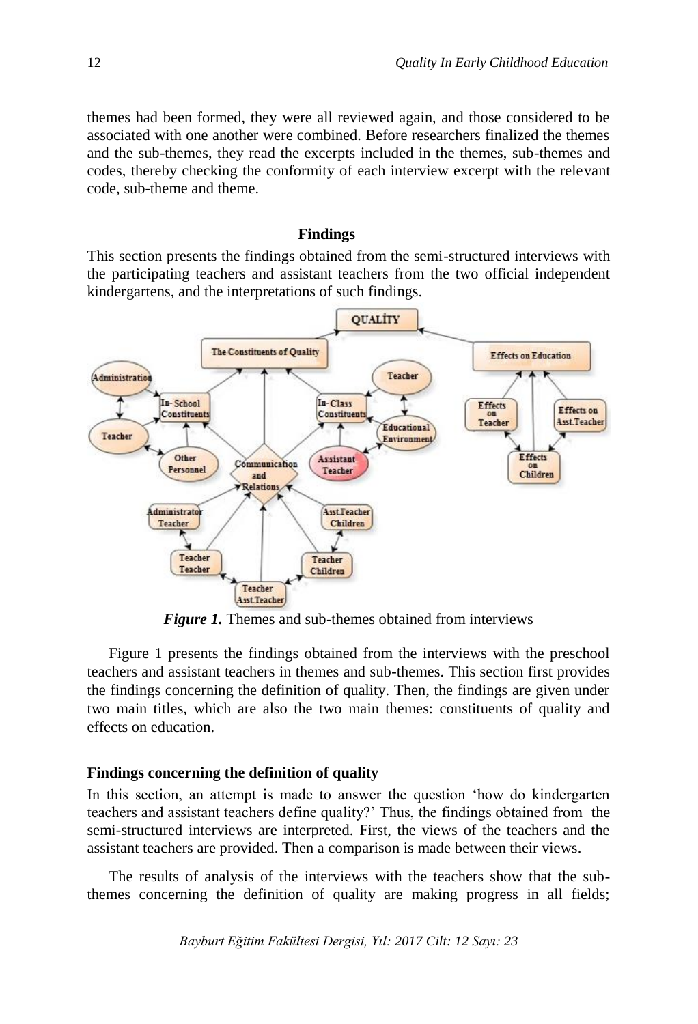themes had been formed, they were all reviewed again, and those considered to be associated with one another were combined. Before researchers finalized the themes and the sub-themes, they read the excerpts included in the themes, sub-themes and codes, thereby checking the conformity of each interview excerpt with the relevant code, sub-theme and theme.

#### **Findings**

This section presents the findings obtained from the semi-structured interviews with the participating teachers and assistant teachers from the two official independent kindergartens, and the interpretations of such findings.



*Figure 1.* Themes and sub-themes obtained from interviews

Figure 1 presents the findings obtained from the interviews with the preschool teachers and assistant teachers in themes and sub-themes. This section first provides the findings concerning the definition of quality. Then, the findings are given under two main titles, which are also the two main themes: constituents of quality and effects on education.

#### **Findings concerning the definition of quality**

In this section, an attempt is made to answer the question 'how do kindergarten teachers and assistant teachers define quality?' Thus, the findings obtained from the semi-structured interviews are interpreted. First, the views of the teachers and the assistant teachers are provided. Then a comparison is made between their views.

The results of analysis of the interviews with the teachers show that the subthemes concerning the definition of quality are making progress in all fields;

*Bayburt Eğitim Fakültesi Dergisi, Yıl: 2017 Cilt: 12 Sayı: 23*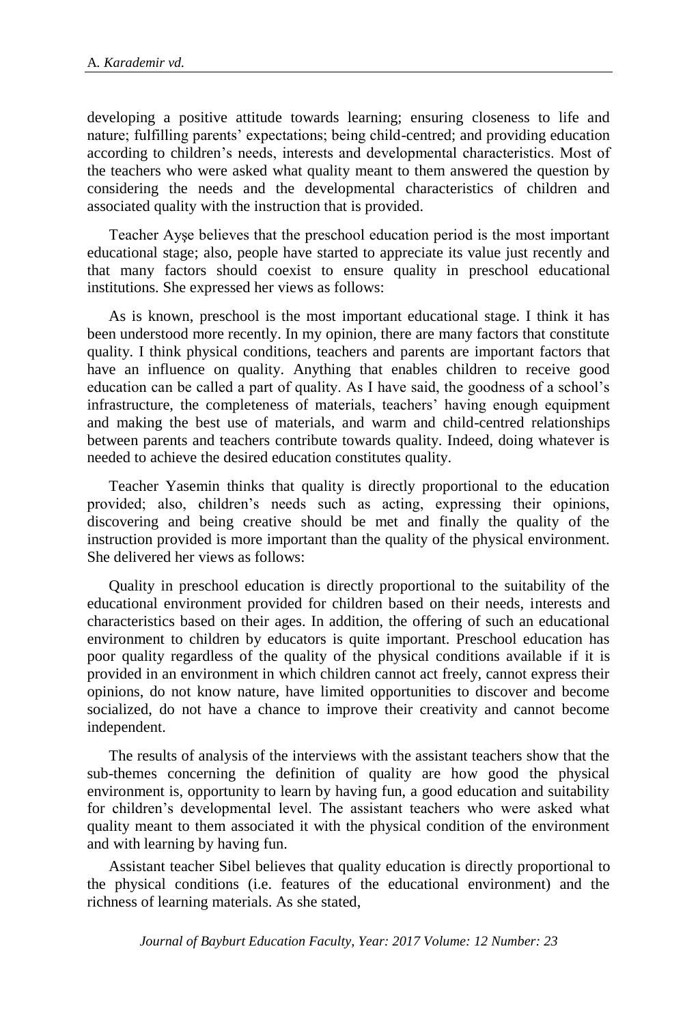developing a positive attitude towards learning; ensuring closeness to life and nature; fulfilling parents' expectations; being child-centred; and providing education according to children's needs, interests and developmental characteristics. Most of the teachers who were asked what quality meant to them answered the question by considering the needs and the developmental characteristics of children and associated quality with the instruction that is provided.

Teacher Ayşe believes that the preschool education period is the most important educational stage; also, people have started to appreciate its value just recently and that many factors should coexist to ensure quality in preschool educational institutions. She expressed her views as follows:

As is known, preschool is the most important educational stage. I think it has been understood more recently. In my opinion, there are many factors that constitute quality. I think physical conditions, teachers and parents are important factors that have an influence on quality. Anything that enables children to receive good education can be called a part of quality. As I have said, the goodness of a school's infrastructure, the completeness of materials, teachers' having enough equipment and making the best use of materials, and warm and child-centred relationships between parents and teachers contribute towards quality. Indeed, doing whatever is needed to achieve the desired education constitutes quality.

Teacher Yasemin thinks that quality is directly proportional to the education provided; also, children's needs such as acting, expressing their opinions, discovering and being creative should be met and finally the quality of the instruction provided is more important than the quality of the physical environment. She delivered her views as follows:

Quality in preschool education is directly proportional to the suitability of the educational environment provided for children based on their needs, interests and characteristics based on their ages. In addition, the offering of such an educational environment to children by educators is quite important. Preschool education has poor quality regardless of the quality of the physical conditions available if it is provided in an environment in which children cannot act freely, cannot express their opinions, do not know nature, have limited opportunities to discover and become socialized, do not have a chance to improve their creativity and cannot become independent.

The results of analysis of the interviews with the assistant teachers show that the sub-themes concerning the definition of quality are how good the physical environment is, opportunity to learn by having fun, a good education and suitability for children's developmental level. The assistant teachers who were asked what quality meant to them associated it with the physical condition of the environment and with learning by having fun.

Assistant teacher Sibel believes that quality education is directly proportional to the physical conditions (i.e. features of the educational environment) and the richness of learning materials. As she stated,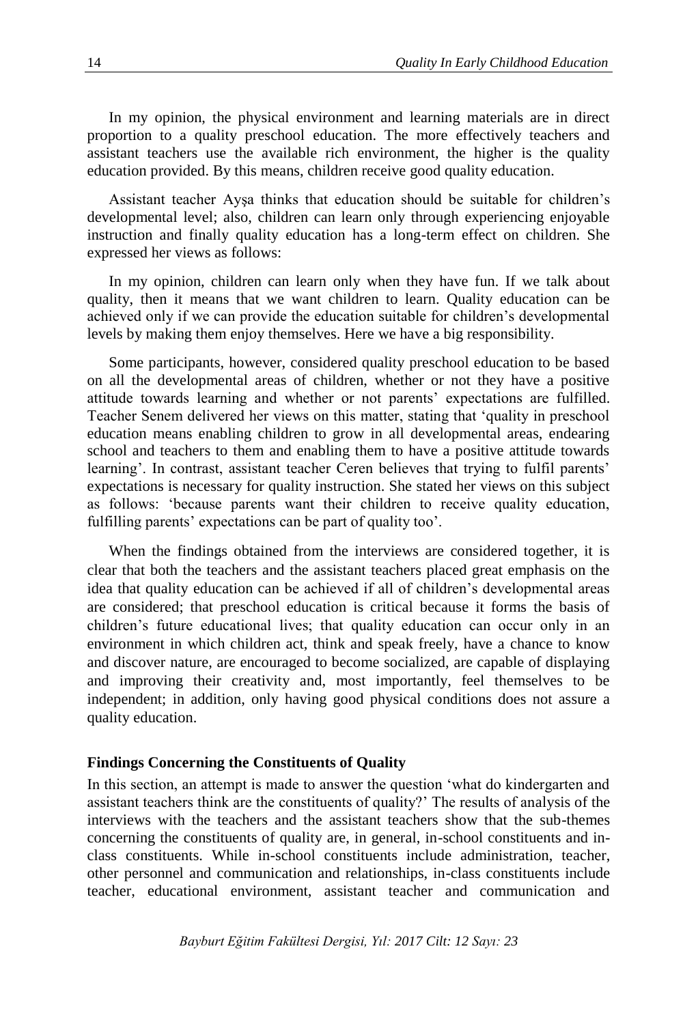In my opinion, the physical environment and learning materials are in direct proportion to a quality preschool education. The more effectively teachers and assistant teachers use the available rich environment, the higher is the quality education provided. By this means, children receive good quality education.

Assistant teacher Ayşa thinks that education should be suitable for children's developmental level; also, children can learn only through experiencing enjoyable instruction and finally quality education has a long-term effect on children. She expressed her views as follows:

In my opinion, children can learn only when they have fun. If we talk about quality, then it means that we want children to learn. Quality education can be achieved only if we can provide the education suitable for children's developmental levels by making them enjoy themselves. Here we have a big responsibility.

Some participants, however, considered quality preschool education to be based on all the developmental areas of children, whether or not they have a positive attitude towards learning and whether or not parents' expectations are fulfilled. Teacher Senem delivered her views on this matter, stating that 'quality in preschool education means enabling children to grow in all developmental areas, endearing school and teachers to them and enabling them to have a positive attitude towards learning'. In contrast, assistant teacher Ceren believes that trying to fulfil parents' expectations is necessary for quality instruction. She stated her views on this subject as follows: 'because parents want their children to receive quality education, fulfilling parents' expectations can be part of quality too'.

When the findings obtained from the interviews are considered together, it is clear that both the teachers and the assistant teachers placed great emphasis on the idea that quality education can be achieved if all of children's developmental areas are considered; that preschool education is critical because it forms the basis of children's future educational lives; that quality education can occur only in an environment in which children act, think and speak freely, have a chance to know and discover nature, are encouraged to become socialized, are capable of displaying and improving their creativity and, most importantly, feel themselves to be independent; in addition, only having good physical conditions does not assure a quality education.

#### **Findings Concerning the Constituents of Quality**

In this section, an attempt is made to answer the question 'what do kindergarten and assistant teachers think are the constituents of quality?' The results of analysis of the interviews with the teachers and the assistant teachers show that the sub-themes concerning the constituents of quality are, in general, in-school constituents and inclass constituents. While in-school constituents include administration, teacher, other personnel and communication and relationships, in-class constituents include teacher, educational environment, assistant teacher and communication and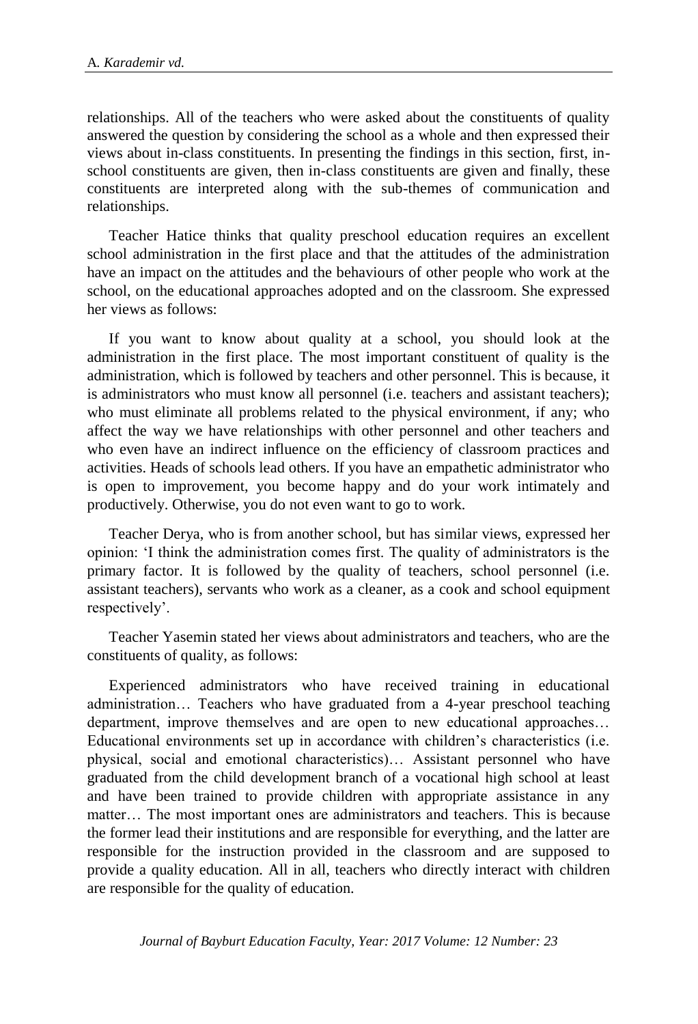relationships. All of the teachers who were asked about the constituents of quality answered the question by considering the school as a whole and then expressed their views about in-class constituents. In presenting the findings in this section, first, inschool constituents are given, then in-class constituents are given and finally, these constituents are interpreted along with the sub-themes of communication and relationships.

Teacher Hatice thinks that quality preschool education requires an excellent school administration in the first place and that the attitudes of the administration have an impact on the attitudes and the behaviours of other people who work at the school, on the educational approaches adopted and on the classroom. She expressed her views as follows:

If you want to know about quality at a school, you should look at the administration in the first place. The most important constituent of quality is the administration, which is followed by teachers and other personnel. This is because, it is administrators who must know all personnel (i.e. teachers and assistant teachers); who must eliminate all problems related to the physical environment, if any; who affect the way we have relationships with other personnel and other teachers and who even have an indirect influence on the efficiency of classroom practices and activities. Heads of schools lead others. If you have an empathetic administrator who is open to improvement, you become happy and do your work intimately and productively. Otherwise, you do not even want to go to work.

Teacher Derya, who is from another school, but has similar views, expressed her opinion: 'I think the administration comes first. The quality of administrators is the primary factor. It is followed by the quality of teachers, school personnel (i.e. assistant teachers), servants who work as a cleaner, as a cook and school equipment respectively'.

Teacher Yasemin stated her views about administrators and teachers, who are the constituents of quality, as follows:

Experienced administrators who have received training in educational administration… Teachers who have graduated from a 4-year preschool teaching department, improve themselves and are open to new educational approaches… Educational environments set up in accordance with children's characteristics (i.e. physical, social and emotional characteristics)… Assistant personnel who have graduated from the child development branch of a vocational high school at least and have been trained to provide children with appropriate assistance in any matter… The most important ones are administrators and teachers. This is because the former lead their institutions and are responsible for everything, and the latter are responsible for the instruction provided in the classroom and are supposed to provide a quality education. All in all, teachers who directly interact with children are responsible for the quality of education.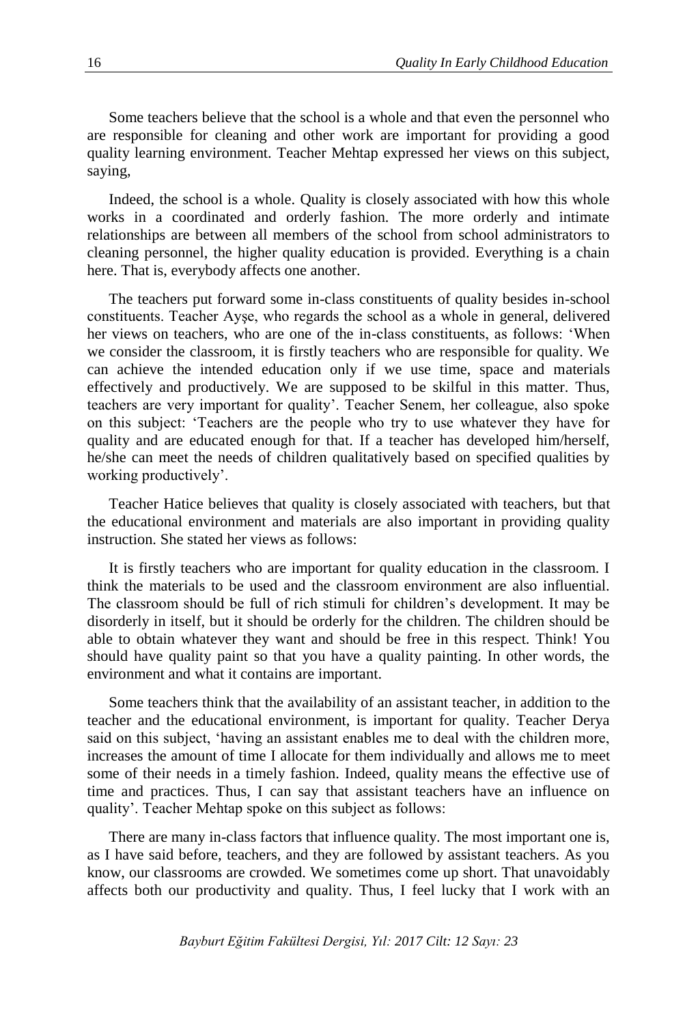Some teachers believe that the school is a whole and that even the personnel who are responsible for cleaning and other work are important for providing a good quality learning environment. Teacher Mehtap expressed her views on this subject, saying,

Indeed, the school is a whole. Quality is closely associated with how this whole works in a coordinated and orderly fashion. The more orderly and intimate relationships are between all members of the school from school administrators to cleaning personnel, the higher quality education is provided. Everything is a chain here. That is, everybody affects one another.

The teachers put forward some in-class constituents of quality besides in-school constituents. Teacher Ayşe, who regards the school as a whole in general, delivered her views on teachers, who are one of the in-class constituents, as follows: 'When we consider the classroom, it is firstly teachers who are responsible for quality. We can achieve the intended education only if we use time, space and materials effectively and productively. We are supposed to be skilful in this matter. Thus, teachers are very important for quality'. Teacher Senem, her colleague, also spoke on this subject: 'Teachers are the people who try to use whatever they have for quality and are educated enough for that. If a teacher has developed him/herself, he/she can meet the needs of children qualitatively based on specified qualities by working productively'.

Teacher Hatice believes that quality is closely associated with teachers, but that the educational environment and materials are also important in providing quality instruction. She stated her views as follows:

It is firstly teachers who are important for quality education in the classroom. I think the materials to be used and the classroom environment are also influential. The classroom should be full of rich stimuli for children's development. It may be disorderly in itself, but it should be orderly for the children. The children should be able to obtain whatever they want and should be free in this respect. Think! You should have quality paint so that you have a quality painting. In other words, the environment and what it contains are important.

Some teachers think that the availability of an assistant teacher, in addition to the teacher and the educational environment, is important for quality. Teacher Derya said on this subject, 'having an assistant enables me to deal with the children more, increases the amount of time I allocate for them individually and allows me to meet some of their needs in a timely fashion. Indeed, quality means the effective use of time and practices. Thus, I can say that assistant teachers have an influence on quality'. Teacher Mehtap spoke on this subject as follows:

There are many in-class factors that influence quality. The most important one is, as I have said before, teachers, and they are followed by assistant teachers. As you know, our classrooms are crowded. We sometimes come up short. That unavoidably affects both our productivity and quality. Thus, I feel lucky that I work with an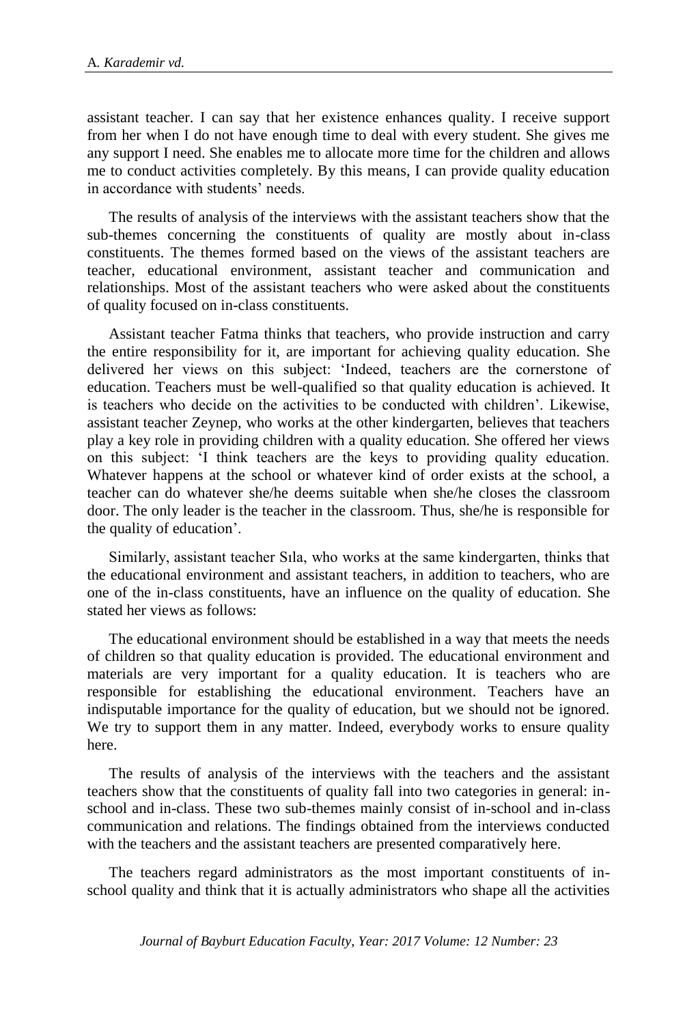assistant teacher. I can say that her existence enhances quality. I receive support from her when I do not have enough time to deal with every student. She gives me any support I need. She enables me to allocate more time for the children and allows me to conduct activities completely. By this means, I can provide quality education in accordance with students' needs.

The results of analysis of the interviews with the assistant teachers show that the sub-themes concerning the constituents of quality are mostly about in-class constituents. The themes formed based on the views of the assistant teachers are teacher, educational environment, assistant teacher and communication and relationships. Most of the assistant teachers who were asked about the constituents of quality focused on in-class constituents.

Assistant teacher Fatma thinks that teachers, who provide instruction and carry the entire responsibility for it, are important for achieving quality education. She delivered her views on this subject: 'Indeed, teachers are the cornerstone of education. Teachers must be well-qualified so that quality education is achieved. It is teachers who decide on the activities to be conducted with children'. Likewise, assistant teacher Zeynep, who works at the other kindergarten, believes that teachers play a key role in providing children with a quality education. She offered her views on this subject: 'I think teachers are the keys to providing quality education. Whatever happens at the school or whatever kind of order exists at the school, a teacher can do whatever she/he deems suitable when she/he closes the classroom door. The only leader is the teacher in the classroom. Thus, she/he is responsible for the quality of education'.

Similarly, assistant teacher Sıla, who works at the same kindergarten, thinks that the educational environment and assistant teachers, in addition to teachers, who are one of the in-class constituents, have an influence on the quality of education. She stated her views as follows:

The educational environment should be established in a way that meets the needs of children so that quality education is provided. The educational environment and materials are very important for a quality education. It is teachers who are responsible for establishing the educational environment. Teachers have an indisputable importance for the quality of education, but we should not be ignored. We try to support them in any matter. Indeed, everybody works to ensure quality here.

The results of analysis of the interviews with the teachers and the assistant teachers show that the constituents of quality fall into two categories in general: inschool and in-class. These two sub-themes mainly consist of in-school and in-class communication and relations. The findings obtained from the interviews conducted with the teachers and the assistant teachers are presented comparatively here.

The teachers regard administrators as the most important constituents of inschool quality and think that it is actually administrators who shape all the activities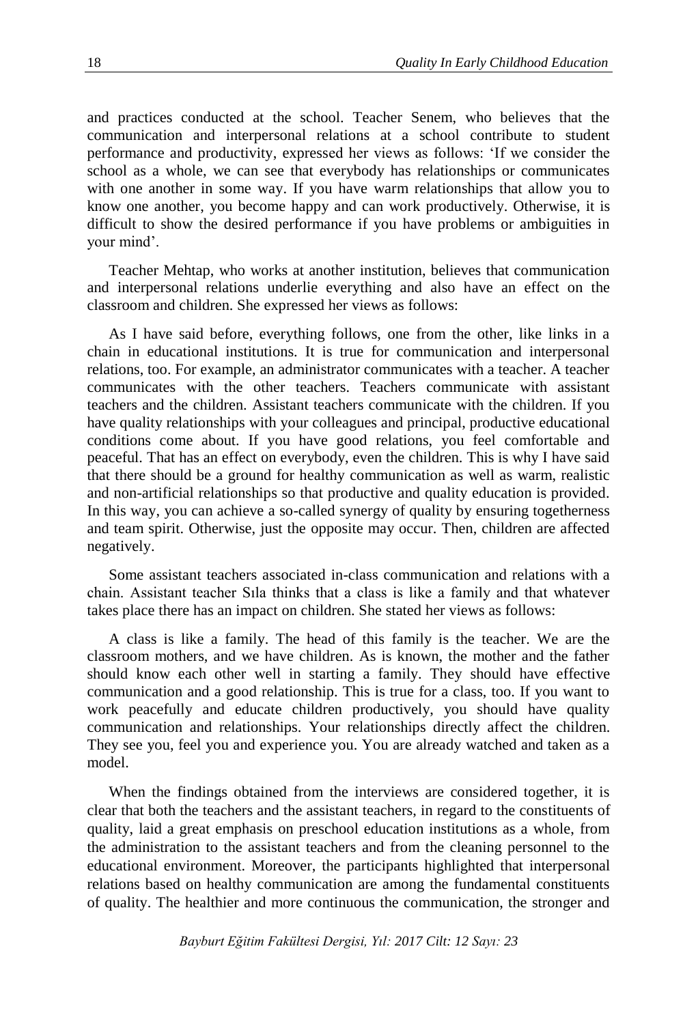and practices conducted at the school. Teacher Senem, who believes that the communication and interpersonal relations at a school contribute to student performance and productivity, expressed her views as follows: 'If we consider the school as a whole, we can see that everybody has relationships or communicates with one another in some way. If you have warm relationships that allow you to know one another, you become happy and can work productively. Otherwise, it is difficult to show the desired performance if you have problems or ambiguities in your mind'.

Teacher Mehtap, who works at another institution, believes that communication and interpersonal relations underlie everything and also have an effect on the classroom and children. She expressed her views as follows:

As I have said before, everything follows, one from the other, like links in a chain in educational institutions. It is true for communication and interpersonal relations, too. For example, an administrator communicates with a teacher. A teacher communicates with the other teachers. Teachers communicate with assistant teachers and the children. Assistant teachers communicate with the children. If you have quality relationships with your colleagues and principal, productive educational conditions come about. If you have good relations, you feel comfortable and peaceful. That has an effect on everybody, even the children. This is why I have said that there should be a ground for healthy communication as well as warm, realistic and non-artificial relationships so that productive and quality education is provided. In this way, you can achieve a so-called synergy of quality by ensuring togetherness and team spirit. Otherwise, just the opposite may occur. Then, children are affected negatively.

Some assistant teachers associated in-class communication and relations with a chain. Assistant teacher Sıla thinks that a class is like a family and that whatever takes place there has an impact on children. She stated her views as follows:

A class is like a family. The head of this family is the teacher. We are the classroom mothers, and we have children. As is known, the mother and the father should know each other well in starting a family. They should have effective communication and a good relationship. This is true for a class, too. If you want to work peacefully and educate children productively, you should have quality communication and relationships. Your relationships directly affect the children. They see you, feel you and experience you. You are already watched and taken as a model.

When the findings obtained from the interviews are considered together, it is clear that both the teachers and the assistant teachers, in regard to the constituents of quality, laid a great emphasis on preschool education institutions as a whole, from the administration to the assistant teachers and from the cleaning personnel to the educational environment. Moreover, the participants highlighted that interpersonal relations based on healthy communication are among the fundamental constituents of quality. The healthier and more continuous the communication, the stronger and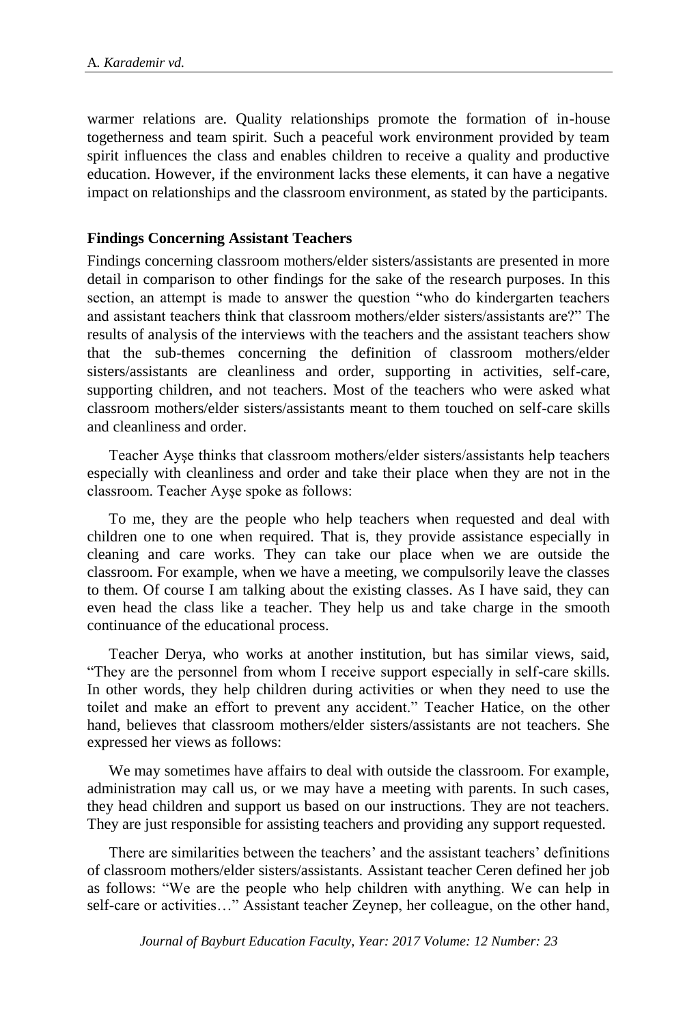warmer relations are. Quality relationships promote the formation of in-house togetherness and team spirit. Such a peaceful work environment provided by team spirit influences the class and enables children to receive a quality and productive education. However, if the environment lacks these elements, it can have a negative impact on relationships and the classroom environment, as stated by the participants.

# **Findings Concerning Assistant Teachers**

Findings concerning classroom mothers/elder sisters/assistants are presented in more detail in comparison to other findings for the sake of the research purposes. In this section, an attempt is made to answer the question "who do kindergarten teachers and assistant teachers think that classroom mothers/elder sisters/assistants are?" The results of analysis of the interviews with the teachers and the assistant teachers show that the sub-themes concerning the definition of classroom mothers/elder sisters/assistants are cleanliness and order, supporting in activities, self-care, supporting children, and not teachers. Most of the teachers who were asked what classroom mothers/elder sisters/assistants meant to them touched on self-care skills and cleanliness and order.

Teacher Ayşe thinks that classroom mothers/elder sisters/assistants help teachers especially with cleanliness and order and take their place when they are not in the classroom. Teacher Ayşe spoke as follows:

To me, they are the people who help teachers when requested and deal with children one to one when required. That is, they provide assistance especially in cleaning and care works. They can take our place when we are outside the classroom. For example, when we have a meeting, we compulsorily leave the classes to them. Of course I am talking about the existing classes. As I have said, they can even head the class like a teacher. They help us and take charge in the smooth continuance of the educational process.

Teacher Derya, who works at another institution, but has similar views, said, "They are the personnel from whom I receive support especially in self-care skills. In other words, they help children during activities or when they need to use the toilet and make an effort to prevent any accident." Teacher Hatice, on the other hand, believes that classroom mothers/elder sisters/assistants are not teachers. She expressed her views as follows:

We may sometimes have affairs to deal with outside the classroom. For example, administration may call us, or we may have a meeting with parents. In such cases, they head children and support us based on our instructions. They are not teachers. They are just responsible for assisting teachers and providing any support requested.

There are similarities between the teachers' and the assistant teachers' definitions of classroom mothers/elder sisters/assistants. Assistant teacher Ceren defined her job as follows: "We are the people who help children with anything. We can help in self-care or activities…" Assistant teacher Zeynep, her colleague, on the other hand,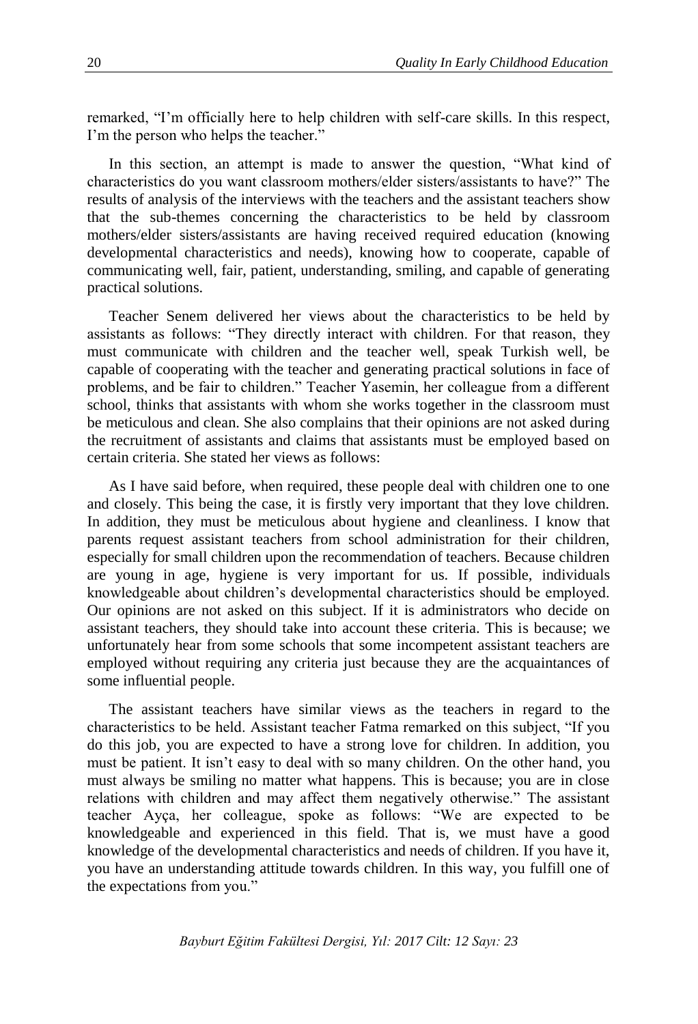remarked, "I'm officially here to help children with self-care skills. In this respect, I'm the person who helps the teacher."

In this section, an attempt is made to answer the question, "What kind of characteristics do you want classroom mothers/elder sisters/assistants to have?" The results of analysis of the interviews with the teachers and the assistant teachers show that the sub-themes concerning the characteristics to be held by classroom mothers/elder sisters/assistants are having received required education (knowing developmental characteristics and needs), knowing how to cooperate, capable of communicating well, fair, patient, understanding, smiling, and capable of generating practical solutions.

Teacher Senem delivered her views about the characteristics to be held by assistants as follows: "They directly interact with children. For that reason, they must communicate with children and the teacher well, speak Turkish well, be capable of cooperating with the teacher and generating practical solutions in face of problems, and be fair to children." Teacher Yasemin, her colleague from a different school, thinks that assistants with whom she works together in the classroom must be meticulous and clean. She also complains that their opinions are not asked during the recruitment of assistants and claims that assistants must be employed based on certain criteria. She stated her views as follows:

As I have said before, when required, these people deal with children one to one and closely. This being the case, it is firstly very important that they love children. In addition, they must be meticulous about hygiene and cleanliness. I know that parents request assistant teachers from school administration for their children, especially for small children upon the recommendation of teachers. Because children are young in age, hygiene is very important for us. If possible, individuals knowledgeable about children's developmental characteristics should be employed. Our opinions are not asked on this subject. If it is administrators who decide on assistant teachers, they should take into account these criteria. This is because; we unfortunately hear from some schools that some incompetent assistant teachers are employed without requiring any criteria just because they are the acquaintances of some influential people.

The assistant teachers have similar views as the teachers in regard to the characteristics to be held. Assistant teacher Fatma remarked on this subject, "If you do this job, you are expected to have a strong love for children. In addition, you must be patient. It isn't easy to deal with so many children. On the other hand, you must always be smiling no matter what happens. This is because; you are in close relations with children and may affect them negatively otherwise." The assistant teacher Ayça, her colleague, spoke as follows: "We are expected to be knowledgeable and experienced in this field. That is, we must have a good knowledge of the developmental characteristics and needs of children. If you have it, you have an understanding attitude towards children. In this way, you fulfill one of the expectations from you."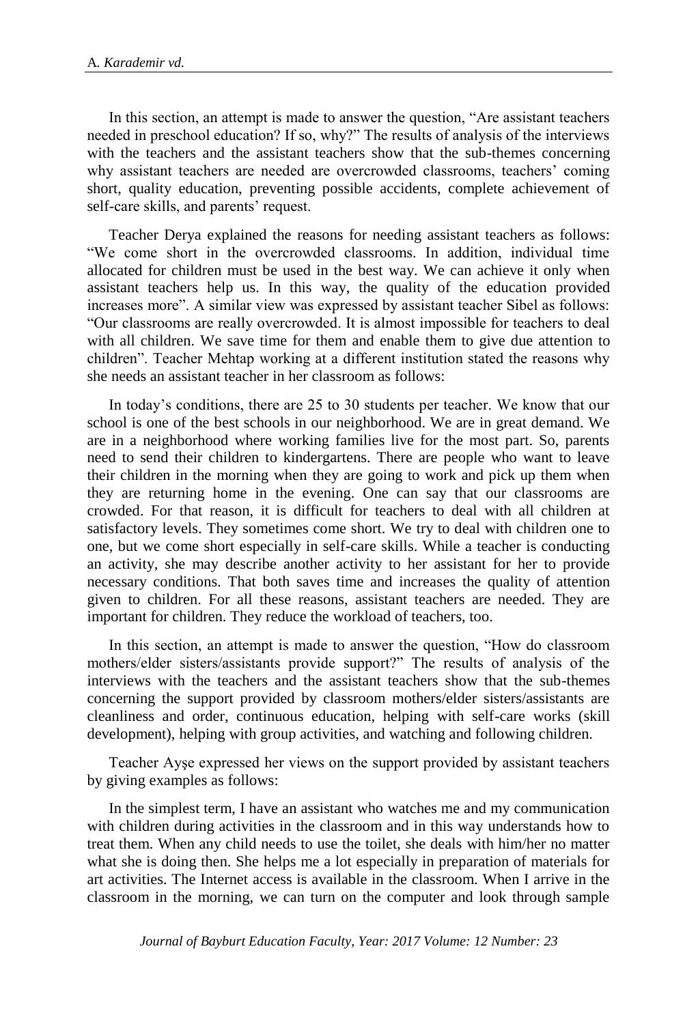In this section, an attempt is made to answer the question, "Are assistant teachers needed in preschool education? If so, why?" The results of analysis of the interviews with the teachers and the assistant teachers show that the sub-themes concerning why assistant teachers are needed are overcrowded classrooms, teachers' coming short, quality education, preventing possible accidents, complete achievement of self-care skills, and parents' request.

Teacher Derya explained the reasons for needing assistant teachers as follows: "We come short in the overcrowded classrooms. In addition, individual time allocated for children must be used in the best way. We can achieve it only when assistant teachers help us. In this way, the quality of the education provided increases more". A similar view was expressed by assistant teacher Sibel as follows: "Our classrooms are really overcrowded. It is almost impossible for teachers to deal with all children. We save time for them and enable them to give due attention to children". Teacher Mehtap working at a different institution stated the reasons why she needs an assistant teacher in her classroom as follows:

In today's conditions, there are 25 to 30 students per teacher. We know that our school is one of the best schools in our neighborhood. We are in great demand. We are in a neighborhood where working families live for the most part. So, parents need to send their children to kindergartens. There are people who want to leave their children in the morning when they are going to work and pick up them when they are returning home in the evening. One can say that our classrooms are crowded. For that reason, it is difficult for teachers to deal with all children at satisfactory levels. They sometimes come short. We try to deal with children one to one, but we come short especially in self-care skills. While a teacher is conducting an activity, she may describe another activity to her assistant for her to provide necessary conditions. That both saves time and increases the quality of attention given to children. For all these reasons, assistant teachers are needed. They are important for children. They reduce the workload of teachers, too.

In this section, an attempt is made to answer the question, "How do classroom mothers/elder sisters/assistants provide support?" The results of analysis of the interviews with the teachers and the assistant teachers show that the sub-themes concerning the support provided by classroom mothers/elder sisters/assistants are cleanliness and order, continuous education, helping with self-care works (skill development), helping with group activities, and watching and following children.

Teacher Ayşe expressed her views on the support provided by assistant teachers by giving examples as follows:

In the simplest term, I have an assistant who watches me and my communication with children during activities in the classroom and in this way understands how to treat them. When any child needs to use the toilet, she deals with him/her no matter what she is doing then. She helps me a lot especially in preparation of materials for art activities. The Internet access is available in the classroom. When I arrive in the classroom in the morning, we can turn on the computer and look through sample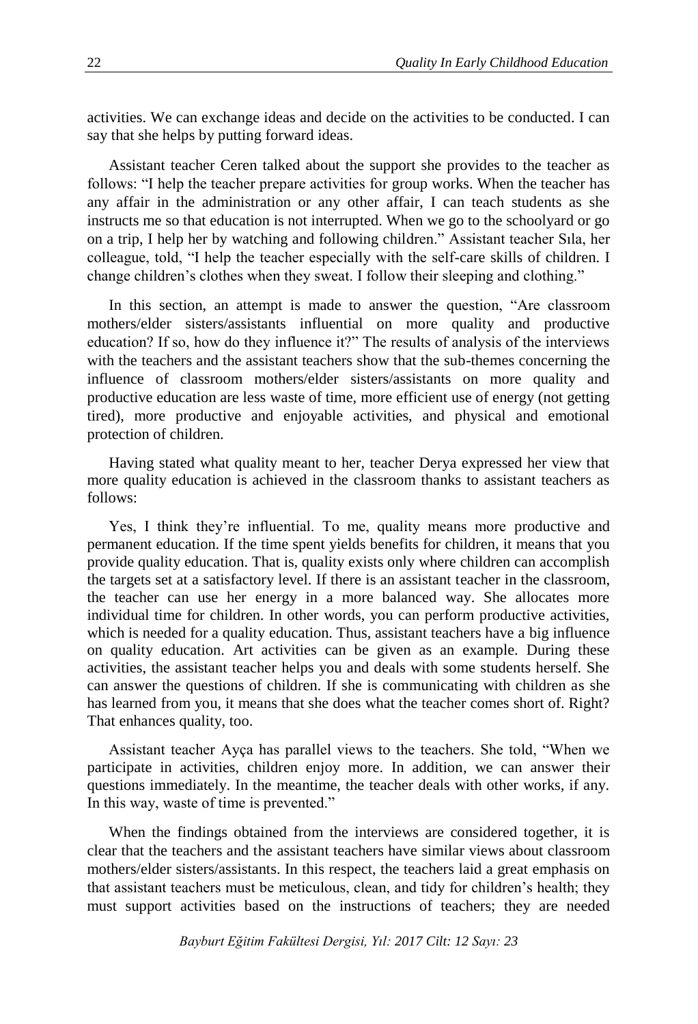activities. We can exchange ideas and decide on the activities to be conducted. I can say that she helps by putting forward ideas.

Assistant teacher Ceren talked about the support she provides to the teacher as follows: "I help the teacher prepare activities for group works. When the teacher has any affair in the administration or any other affair, I can teach students as she instructs me so that education is not interrupted. When we go to the schoolyard or go on a trip, I help her by watching and following children." Assistant teacher Sıla, her colleague, told, "I help the teacher especially with the self-care skills of children. I change children's clothes when they sweat. I follow their sleeping and clothing."

In this section, an attempt is made to answer the question, "Are classroom mothers/elder sisters/assistants influential on more quality and productive education? If so, how do they influence it?" The results of analysis of the interviews with the teachers and the assistant teachers show that the sub-themes concerning the influence of classroom mothers/elder sisters/assistants on more quality and productive education are less waste of time, more efficient use of energy (not getting tired), more productive and enjoyable activities, and physical and emotional protection of children.

Having stated what quality meant to her, teacher Derya expressed her view that more quality education is achieved in the classroom thanks to assistant teachers as follows:

Yes, I think they're influential. To me, quality means more productive and permanent education. If the time spent yields benefits for children, it means that you provide quality education. That is, quality exists only where children can accomplish the targets set at a satisfactory level. If there is an assistant teacher in the classroom, the teacher can use her energy in a more balanced way. She allocates more individual time for children. In other words, you can perform productive activities, which is needed for a quality education. Thus, assistant teachers have a big influence on quality education. Art activities can be given as an example. During these activities, the assistant teacher helps you and deals with some students herself. She can answer the questions of children. If she is communicating with children as she has learned from you, it means that she does what the teacher comes short of. Right? That enhances quality, too.

Assistant teacher Ayça has parallel views to the teachers. She told, "When we participate in activities, children enjoy more. In addition, we can answer their questions immediately. In the meantime, the teacher deals with other works, if any. In this way, waste of time is prevented."

When the findings obtained from the interviews are considered together, it is clear that the teachers and the assistant teachers have similar views about classroom mothers/elder sisters/assistants. In this respect, the teachers laid a great emphasis on that assistant teachers must be meticulous, clean, and tidy for children's health; they must support activities based on the instructions of teachers; they are needed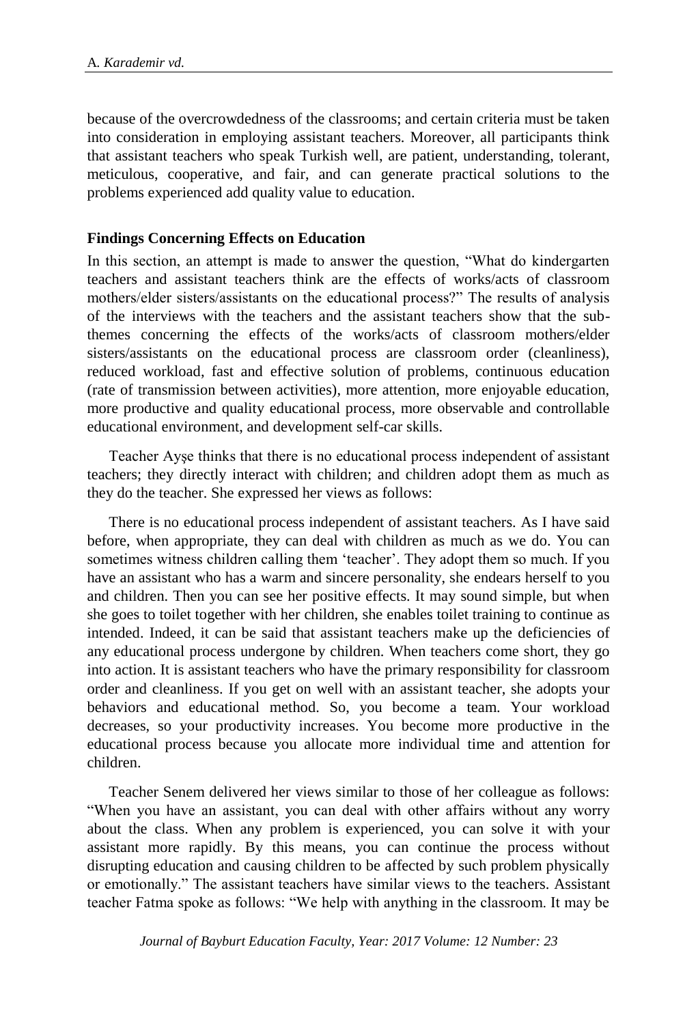because of the overcrowdedness of the classrooms; and certain criteria must be taken into consideration in employing assistant teachers. Moreover, all participants think that assistant teachers who speak Turkish well, are patient, understanding, tolerant, meticulous, cooperative, and fair, and can generate practical solutions to the problems experienced add quality value to education.

# **Findings Concerning Effects on Education**

In this section, an attempt is made to answer the question, "What do kindergarten teachers and assistant teachers think are the effects of works/acts of classroom mothers/elder sisters/assistants on the educational process?" The results of analysis of the interviews with the teachers and the assistant teachers show that the subthemes concerning the effects of the works/acts of classroom mothers/elder sisters/assistants on the educational process are classroom order (cleanliness), reduced workload, fast and effective solution of problems, continuous education (rate of transmission between activities), more attention, more enjoyable education, more productive and quality educational process, more observable and controllable educational environment, and development self-car skills.

Teacher Ayşe thinks that there is no educational process independent of assistant teachers; they directly interact with children; and children adopt them as much as they do the teacher. She expressed her views as follows:

There is no educational process independent of assistant teachers. As I have said before, when appropriate, they can deal with children as much as we do. You can sometimes witness children calling them 'teacher'. They adopt them so much. If you have an assistant who has a warm and sincere personality, she endears herself to you and children. Then you can see her positive effects. It may sound simple, but when she goes to toilet together with her children, she enables toilet training to continue as intended. Indeed, it can be said that assistant teachers make up the deficiencies of any educational process undergone by children. When teachers come short, they go into action. It is assistant teachers who have the primary responsibility for classroom order and cleanliness. If you get on well with an assistant teacher, she adopts your behaviors and educational method. So, you become a team. Your workload decreases, so your productivity increases. You become more productive in the educational process because you allocate more individual time and attention for children.

Teacher Senem delivered her views similar to those of her colleague as follows: "When you have an assistant, you can deal with other affairs without any worry about the class. When any problem is experienced, you can solve it with your assistant more rapidly. By this means, you can continue the process without disrupting education and causing children to be affected by such problem physically or emotionally." The assistant teachers have similar views to the teachers. Assistant teacher Fatma spoke as follows: "We help with anything in the classroom. It may be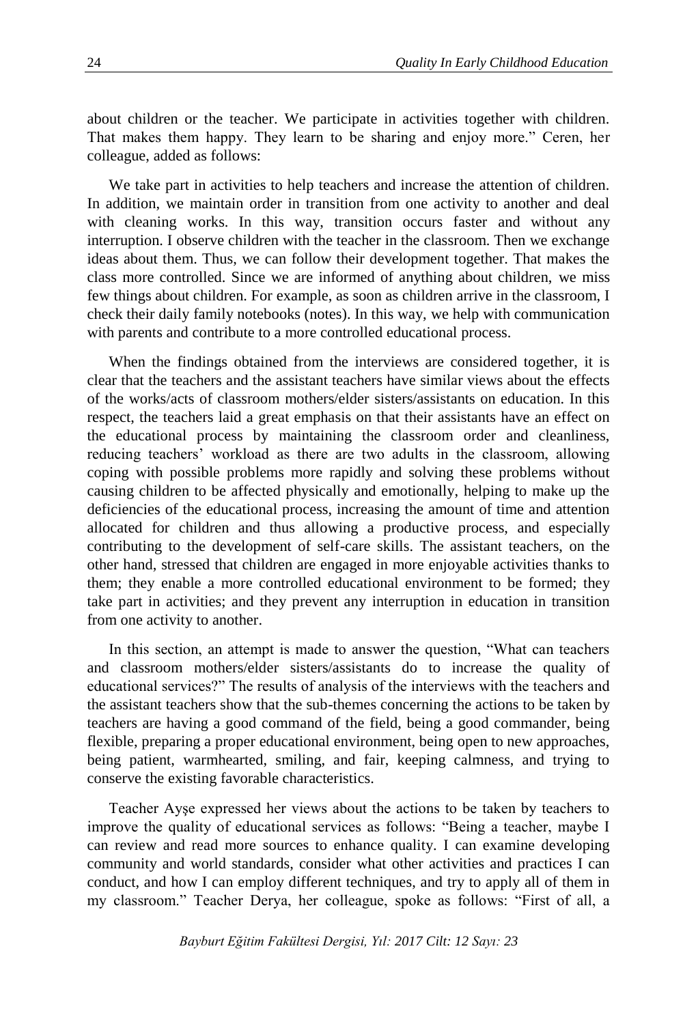about children or the teacher. We participate in activities together with children. That makes them happy. They learn to be sharing and enjoy more." Ceren, her colleague, added as follows:

We take part in activities to help teachers and increase the attention of children. In addition, we maintain order in transition from one activity to another and deal with cleaning works. In this way, transition occurs faster and without any interruption. I observe children with the teacher in the classroom. Then we exchange ideas about them. Thus, we can follow their development together. That makes the class more controlled. Since we are informed of anything about children, we miss few things about children. For example, as soon as children arrive in the classroom, I check their daily family notebooks (notes). In this way, we help with communication with parents and contribute to a more controlled educational process.

When the findings obtained from the interviews are considered together, it is clear that the teachers and the assistant teachers have similar views about the effects of the works/acts of classroom mothers/elder sisters/assistants on education. In this respect, the teachers laid a great emphasis on that their assistants have an effect on the educational process by maintaining the classroom order and cleanliness, reducing teachers' workload as there are two adults in the classroom, allowing coping with possible problems more rapidly and solving these problems without causing children to be affected physically and emotionally, helping to make up the deficiencies of the educational process, increasing the amount of time and attention allocated for children and thus allowing a productive process, and especially contributing to the development of self-care skills. The assistant teachers, on the other hand, stressed that children are engaged in more enjoyable activities thanks to them; they enable a more controlled educational environment to be formed; they take part in activities; and they prevent any interruption in education in transition from one activity to another.

In this section, an attempt is made to answer the question, "What can teachers and classroom mothers/elder sisters/assistants do to increase the quality of educational services?" The results of analysis of the interviews with the teachers and the assistant teachers show that the sub-themes concerning the actions to be taken by teachers are having a good command of the field, being a good commander, being flexible, preparing a proper educational environment, being open to new approaches, being patient, warmhearted, smiling, and fair, keeping calmness, and trying to conserve the existing favorable characteristics.

Teacher Ayşe expressed her views about the actions to be taken by teachers to improve the quality of educational services as follows: "Being a teacher, maybe I can review and read more sources to enhance quality. I can examine developing community and world standards, consider what other activities and practices I can conduct, and how I can employ different techniques, and try to apply all of them in my classroom." Teacher Derya, her colleague, spoke as follows: "First of all, a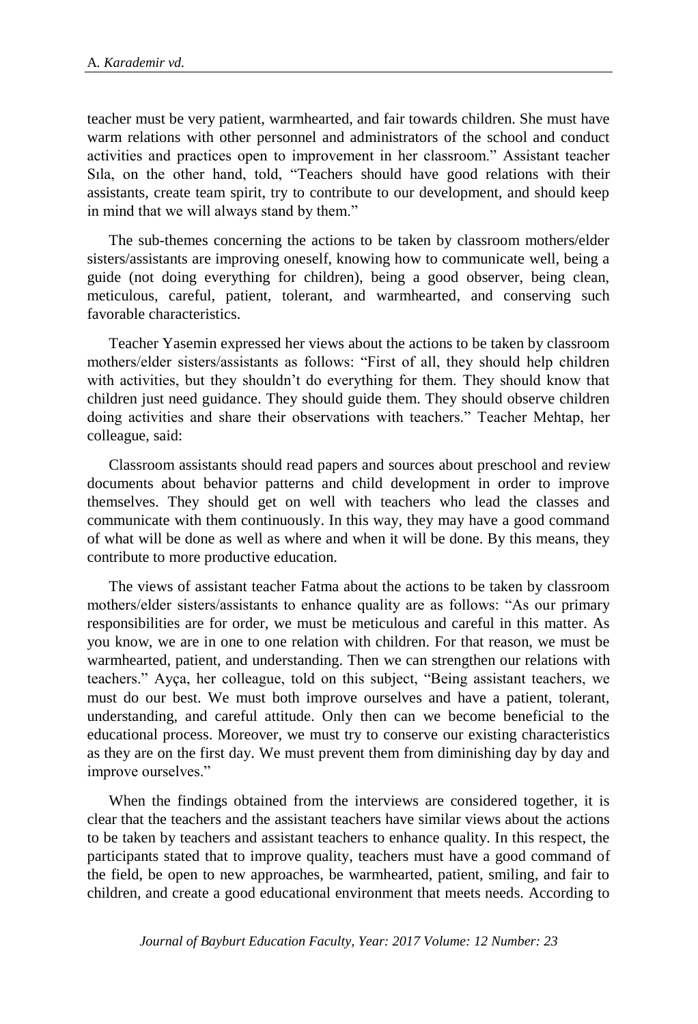teacher must be very patient, warmhearted, and fair towards children. She must have warm relations with other personnel and administrators of the school and conduct activities and practices open to improvement in her classroom." Assistant teacher Sıla, on the other hand, told, "Teachers should have good relations with their assistants, create team spirit, try to contribute to our development, and should keep in mind that we will always stand by them."

The sub-themes concerning the actions to be taken by classroom mothers/elder sisters/assistants are improving oneself, knowing how to communicate well, being a guide (not doing everything for children), being a good observer, being clean, meticulous, careful, patient, tolerant, and warmhearted, and conserving such favorable characteristics.

Teacher Yasemin expressed her views about the actions to be taken by classroom mothers/elder sisters/assistants as follows: "First of all, they should help children with activities, but they shouldn't do everything for them. They should know that children just need guidance. They should guide them. They should observe children doing activities and share their observations with teachers." Teacher Mehtap, her colleague, said:

Classroom assistants should read papers and sources about preschool and review documents about behavior patterns and child development in order to improve themselves. They should get on well with teachers who lead the classes and communicate with them continuously. In this way, they may have a good command of what will be done as well as where and when it will be done. By this means, they contribute to more productive education.

The views of assistant teacher Fatma about the actions to be taken by classroom mothers/elder sisters/assistants to enhance quality are as follows: "As our primary responsibilities are for order, we must be meticulous and careful in this matter. As you know, we are in one to one relation with children. For that reason, we must be warmhearted, patient, and understanding. Then we can strengthen our relations with teachers." Ayça, her colleague, told on this subject, "Being assistant teachers, we must do our best. We must both improve ourselves and have a patient, tolerant, understanding, and careful attitude. Only then can we become beneficial to the educational process. Moreover, we must try to conserve our existing characteristics as they are on the first day. We must prevent them from diminishing day by day and improve ourselves."

When the findings obtained from the interviews are considered together, it is clear that the teachers and the assistant teachers have similar views about the actions to be taken by teachers and assistant teachers to enhance quality. In this respect, the participants stated that to improve quality, teachers must have a good command of the field, be open to new approaches, be warmhearted, patient, smiling, and fair to children, and create a good educational environment that meets needs. According to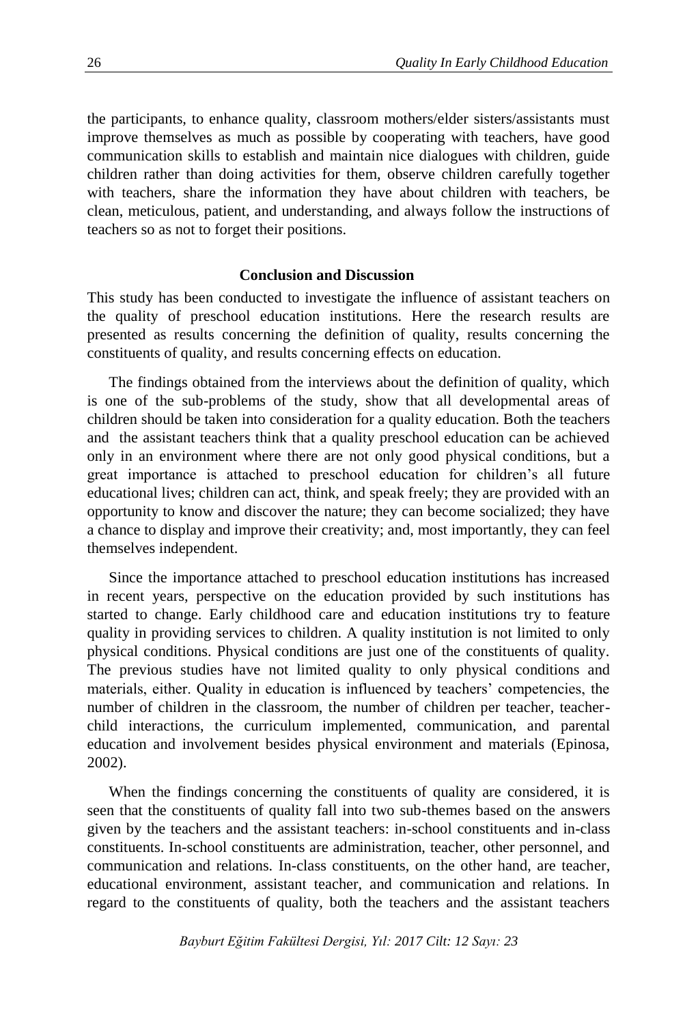the participants, to enhance quality, classroom mothers/elder sisters/assistants must improve themselves as much as possible by cooperating with teachers, have good communication skills to establish and maintain nice dialogues with children, guide children rather than doing activities for them, observe children carefully together with teachers, share the information they have about children with teachers, be clean, meticulous, patient, and understanding, and always follow the instructions of teachers so as not to forget their positions.

### **Conclusion and Discussion**

This study has been conducted to investigate the influence of assistant teachers on the quality of preschool education institutions. Here the research results are presented as results concerning the definition of quality, results concerning the constituents of quality, and results concerning effects on education.

The findings obtained from the interviews about the definition of quality, which is one of the sub-problems of the study, show that all developmental areas of children should be taken into consideration for a quality education. Both the teachers and the assistant teachers think that a quality preschool education can be achieved only in an environment where there are not only good physical conditions, but a great importance is attached to preschool education for children's all future educational lives; children can act, think, and speak freely; they are provided with an opportunity to know and discover the nature; they can become socialized; they have a chance to display and improve their creativity; and, most importantly, they can feel themselves independent.

Since the importance attached to preschool education institutions has increased in recent years, perspective on the education provided by such institutions has started to change. Early childhood care and education institutions try to feature quality in providing services to children. A quality institution is not limited to only physical conditions. Physical conditions are just one of the constituents of quality. The previous studies have not limited quality to only physical conditions and materials, either. Quality in education is influenced by teachers' competencies, the number of children in the classroom, the number of children per teacher, teacherchild interactions, the curriculum implemented, communication, and parental education and involvement besides physical environment and materials (Epinosa, 2002).

When the findings concerning the constituents of quality are considered, it is seen that the constituents of quality fall into two sub-themes based on the answers given by the teachers and the assistant teachers: in-school constituents and in-class constituents. In-school constituents are administration, teacher, other personnel, and communication and relations. In-class constituents, on the other hand, are teacher, educational environment, assistant teacher, and communication and relations. In regard to the constituents of quality, both the teachers and the assistant teachers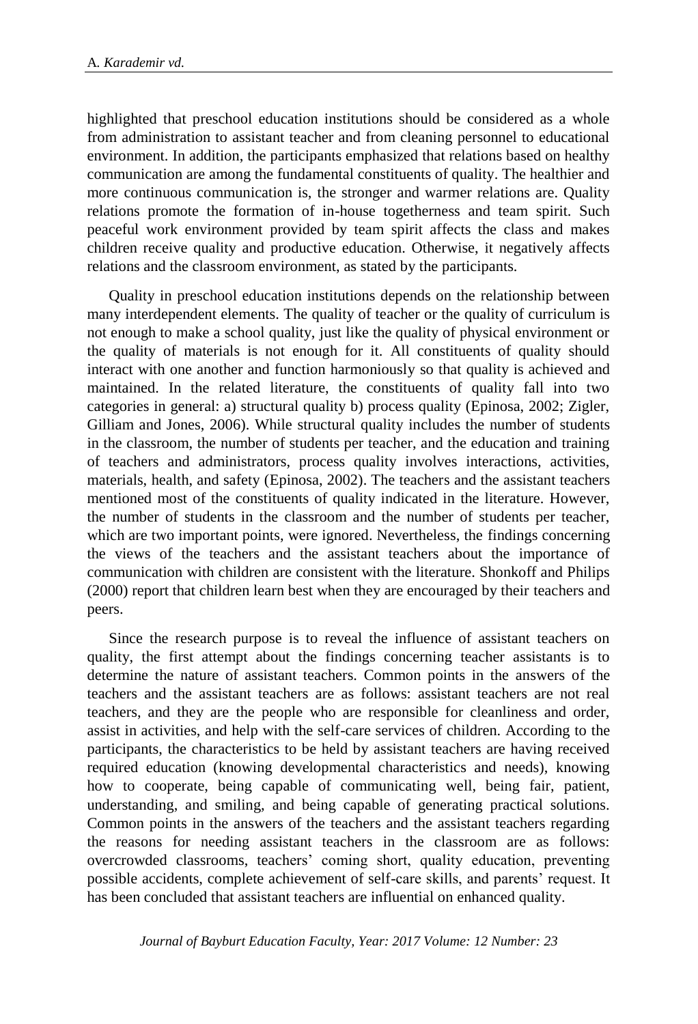highlighted that preschool education institutions should be considered as a whole from administration to assistant teacher and from cleaning personnel to educational environment. In addition, the participants emphasized that relations based on healthy communication are among the fundamental constituents of quality. The healthier and more continuous communication is, the stronger and warmer relations are. Quality relations promote the formation of in-house togetherness and team spirit. Such peaceful work environment provided by team spirit affects the class and makes children receive quality and productive education. Otherwise, it negatively affects relations and the classroom environment, as stated by the participants.

Quality in preschool education institutions depends on the relationship between many interdependent elements. The quality of teacher or the quality of curriculum is not enough to make a school quality, just like the quality of physical environment or the quality of materials is not enough for it. All constituents of quality should interact with one another and function harmoniously so that quality is achieved and maintained. In the related literature, the constituents of quality fall into two categories in general: a) structural quality b) process quality (Epinosa, 2002; Zigler, Gilliam and Jones, 2006). While structural quality includes the number of students in the classroom, the number of students per teacher, and the education and training of teachers and administrators, process quality involves interactions, activities, materials, health, and safety (Epinosa, 2002). The teachers and the assistant teachers mentioned most of the constituents of quality indicated in the literature. However, the number of students in the classroom and the number of students per teacher, which are two important points, were ignored. Nevertheless, the findings concerning the views of the teachers and the assistant teachers about the importance of communication with children are consistent with the literature. Shonkoff and Philips (2000) report that children learn best when they are encouraged by their teachers and peers.

Since the research purpose is to reveal the influence of assistant teachers on quality, the first attempt about the findings concerning teacher assistants is to determine the nature of assistant teachers. Common points in the answers of the teachers and the assistant teachers are as follows: assistant teachers are not real teachers, and they are the people who are responsible for cleanliness and order, assist in activities, and help with the self-care services of children. According to the participants, the characteristics to be held by assistant teachers are having received required education (knowing developmental characteristics and needs), knowing how to cooperate, being capable of communicating well, being fair, patient, understanding, and smiling, and being capable of generating practical solutions. Common points in the answers of the teachers and the assistant teachers regarding the reasons for needing assistant teachers in the classroom are as follows: overcrowded classrooms, teachers' coming short, quality education, preventing possible accidents, complete achievement of self-care skills, and parents' request. It has been concluded that assistant teachers are influential on enhanced quality.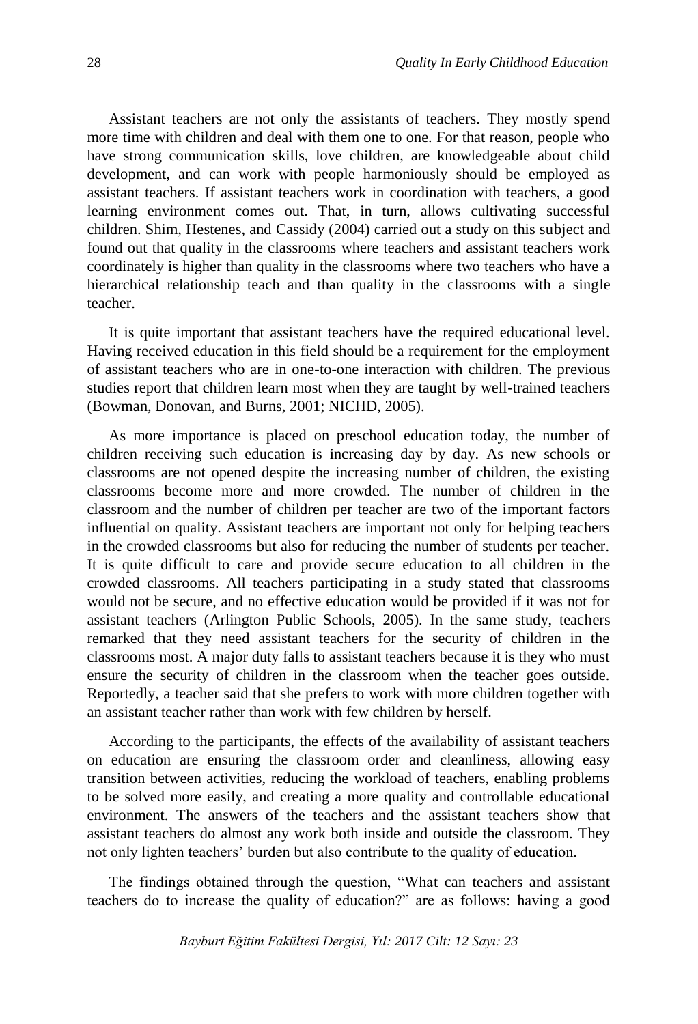Assistant teachers are not only the assistants of teachers. They mostly spend more time with children and deal with them one to one. For that reason, people who have strong communication skills, love children, are knowledgeable about child development, and can work with people harmoniously should be employed as assistant teachers. If assistant teachers work in coordination with teachers, a good learning environment comes out. That, in turn, allows cultivating successful children. Shim, Hestenes, and Cassidy (2004) carried out a study on this subject and found out that quality in the classrooms where teachers and assistant teachers work coordinately is higher than quality in the classrooms where two teachers who have a hierarchical relationship teach and than quality in the classrooms with a single teacher.

It is quite important that assistant teachers have the required educational level. Having received education in this field should be a requirement for the employment of assistant teachers who are in one-to-one interaction with children. The previous studies report that children learn most when they are taught by well-trained teachers (Bowman, Donovan, and Burns, 2001; NICHD, 2005).

As more importance is placed on preschool education today, the number of children receiving such education is increasing day by day. As new schools or classrooms are not opened despite the increasing number of children, the existing classrooms become more and more crowded. The number of children in the classroom and the number of children per teacher are two of the important factors influential on quality. Assistant teachers are important not only for helping teachers in the crowded classrooms but also for reducing the number of students per teacher. It is quite difficult to care and provide secure education to all children in the crowded classrooms. All teachers participating in a study stated that classrooms would not be secure, and no effective education would be provided if it was not for assistant teachers (Arlington Public Schools, 2005). In the same study, teachers remarked that they need assistant teachers for the security of children in the classrooms most. A major duty falls to assistant teachers because it is they who must ensure the security of children in the classroom when the teacher goes outside. Reportedly, a teacher said that she prefers to work with more children together with an assistant teacher rather than work with few children by herself.

According to the participants, the effects of the availability of assistant teachers on education are ensuring the classroom order and cleanliness, allowing easy transition between activities, reducing the workload of teachers, enabling problems to be solved more easily, and creating a more quality and controllable educational environment. The answers of the teachers and the assistant teachers show that assistant teachers do almost any work both inside and outside the classroom. They not only lighten teachers' burden but also contribute to the quality of education.

The findings obtained through the question, "What can teachers and assistant teachers do to increase the quality of education?" are as follows: having a good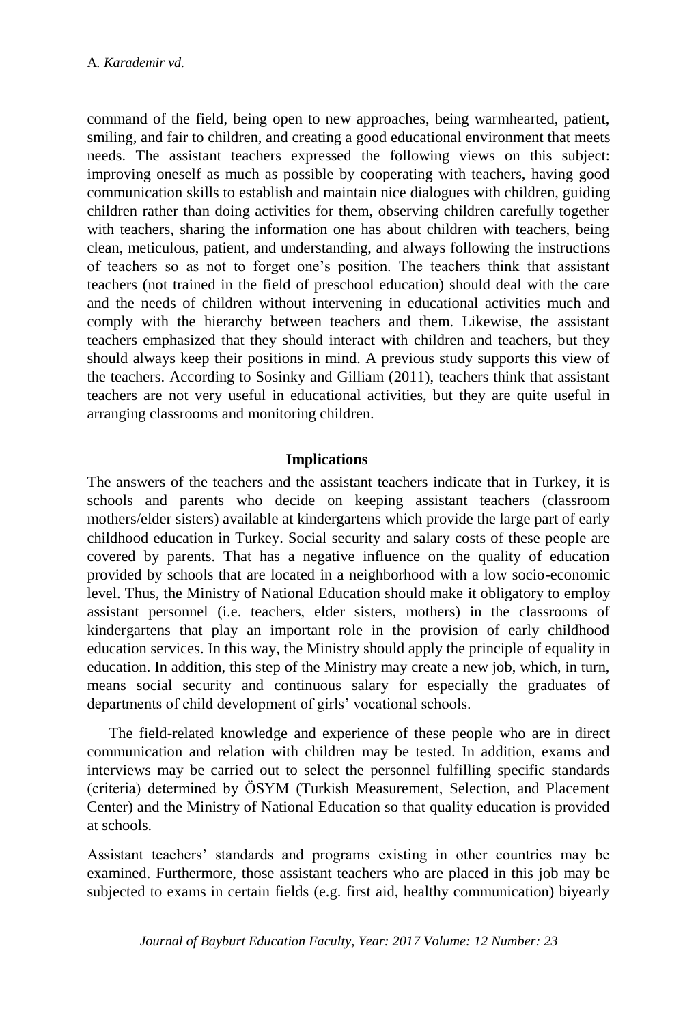command of the field, being open to new approaches, being warmhearted, patient, smiling, and fair to children, and creating a good educational environment that meets needs. The assistant teachers expressed the following views on this subject: improving oneself as much as possible by cooperating with teachers, having good communication skills to establish and maintain nice dialogues with children, guiding children rather than doing activities for them, observing children carefully together with teachers, sharing the information one has about children with teachers, being clean, meticulous, patient, and understanding, and always following the instructions of teachers so as not to forget one's position. The teachers think that assistant teachers (not trained in the field of preschool education) should deal with the care and the needs of children without intervening in educational activities much and comply with the hierarchy between teachers and them. Likewise, the assistant teachers emphasized that they should interact with children and teachers, but they should always keep their positions in mind. A previous study supports this view of the teachers. According to Sosinky and Gilliam (2011), teachers think that assistant teachers are not very useful in educational activities, but they are quite useful in arranging classrooms and monitoring children.

# **Implications**

The answers of the teachers and the assistant teachers indicate that in Turkey, it is schools and parents who decide on keeping assistant teachers (classroom mothers/elder sisters) available at kindergartens which provide the large part of early childhood education in Turkey. Social security and salary costs of these people are covered by parents. That has a negative influence on the quality of education provided by schools that are located in a neighborhood with a low socio-economic level. Thus, the Ministry of National Education should make it obligatory to employ assistant personnel (i.e. teachers, elder sisters, mothers) in the classrooms of kindergartens that play an important role in the provision of early childhood education services. In this way, the Ministry should apply the principle of equality in education. In addition, this step of the Ministry may create a new job, which, in turn, means social security and continuous salary for especially the graduates of departments of child development of girls' vocational schools.

The field-related knowledge and experience of these people who are in direct communication and relation with children may be tested. In addition, exams and interviews may be carried out to select the personnel fulfilling specific standards (criteria) determined by ÖSYM (Turkish Measurement, Selection, and Placement Center) and the Ministry of National Education so that quality education is provided at schools.

Assistant teachers' standards and programs existing in other countries may be examined. Furthermore, those assistant teachers who are placed in this job may be subjected to exams in certain fields (e.g. first aid, healthy communication) biyearly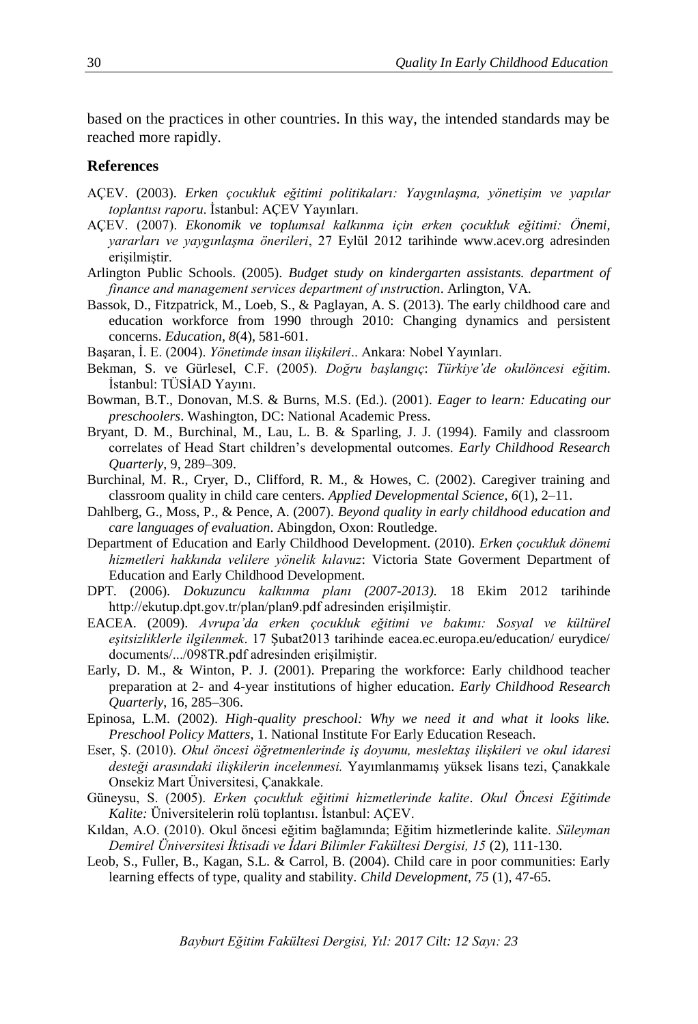based on the practices in other countries. In this way, the intended standards may be reached more rapidly.

#### **References**

- AÇEV. (2003). *Erken çocukluk eğitimi politikaları: Yaygınlaşma, yönetişim ve yapılar toplantısı raporu*. İstanbul: AÇEV Yayınları.
- AÇEV. (2007). *Ekonomik ve toplumsal kalkınma için erken çocukluk eğitimi: Önemi, yararları ve yaygınlaşma önerileri*, 27 Eylül 2012 tarihinde www.acev.org adresinden erişilmiştir.
- Arlington Public Schools. (2005). *Budget study on kindergarten assistants. department of finance and management services department of ınstruction*. Arlington, VA.
- Bassok, D., Fitzpatrick, M., Loeb, S., & Paglayan, A. S. (2013). The early childhood care and education workforce from 1990 through 2010: Changing dynamics and persistent concerns. *Education*, *8*(4), 581-601.
- Başaran, İ. E. (2004). *Yönetimde insan ilişkileri*.. Ankara: Nobel Yayınları.
- Bekman, S. ve Gürlesel, C.F. (2005). *Doğru başlangıç*: *Türkiye'de okulöncesi eğitim*. İstanbul: TÜSİAD Yayını.
- Bowman, B.T., Donovan, M.S. & Burns, M.S. (Ed.). (2001). *Eager to learn: Educating our preschoolers*. Washington, DC: National Academic Press.
- Bryant, D. M., Burchinal, M., Lau, L. B. & Sparling, J. J. (1994). Family and classroom correlates of Head Start children's developmental outcomes. *Early Childhood Research Quarterly*, 9, 289–309.
- Burchinal, M. R., Cryer, D., Clifford, R. M., & Howes, C. (2002). Caregiver training and classroom quality in child care centers. *Applied Developmental Science*, *6*(1), 2–11.
- Dahlberg, G., Moss, P., & Pence, A. (2007). *Beyond quality in early childhood education and care languages of evaluation*. Abingdon, Oxon: Routledge.
- Department of Education and Early Childhood Development. (2010). *Erken çocukluk dönemi hizmetleri hakkında velilere yönelik kılavuz*: Victoria State Goverment Department of Education and Early Childhood Development.
- DPT. (2006). *Dokuzuncu kalkınma planı (2007-2013).* 18 Ekim 2012 tarihinde http://ekutup.dpt.gov.tr/plan/plan9.pdf adresinden erişilmiştir.
- EACEA. (2009). *Avrupa'da erken çocukluk eğitimi ve bakımı: Sosyal ve kültürel eşitsizliklerle ilgilenmek*. 17 Şubat2013 tarihinde eacea.ec.europa.eu/education/ eurydice/ documents/.../098TR.pdf adresinden erişilmiştir.
- Early, D. M., & Winton, P. J. (2001). Preparing the workforce: Early childhood teacher preparation at 2- and 4-year institutions of higher education. *Early Childhood Research Quarterly*, 16, 285–306.
- Epinosa, L.M. (2002). *High-quality preschool: Why we need it and what it looks like. Preschool Policy Matters*, 1. National Institute For Early Education Reseach.
- Eser, Ş. (2010). *Okul öncesi öğretmenlerinde iş doyumu, meslektaş ilişkileri ve okul idaresi desteği arasındaki ilişkilerin incelenmesi.* Yayımlanmamış yüksek lisans tezi, Çanakkale Onsekiz Mart Üniversitesi, Çanakkale.
- Güneysu, S. (2005). *Erken çocukluk eğitimi hizmetlerinde kalite*. *Okul Öncesi Eğitimde Kalite:* Üniversitelerin rolü toplantısı. İstanbul: AÇEV.
- Kıldan, A.O. (2010). Okul öncesi eğitim bağlamında; Eğitim hizmetlerinde kalite. *Süleyman Demirel Üniversitesi İktisadi ve İdari Bilimler Fakültesi Dergisi, 15* (2), 111-130.
- Leob, S., Fuller, B., Kagan, S.L. & Carrol, B. (2004). Child care in poor communities: Early learning effects of type, quality and stability. *Child Development, 75* (1), 47-65.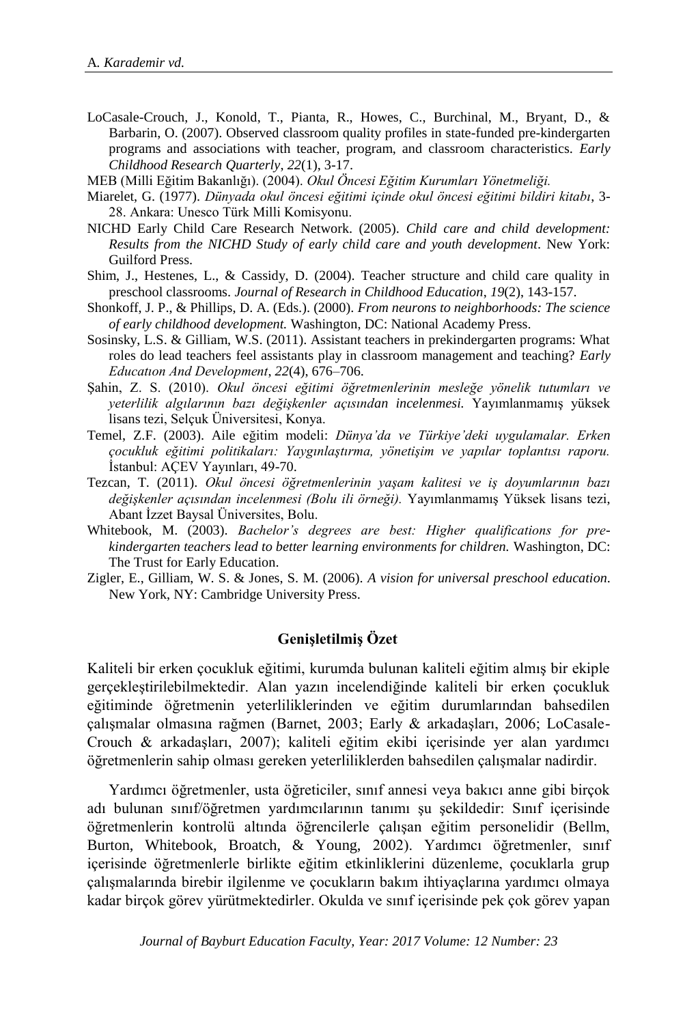- LoCasale-Crouch, J., Konold, T., Pianta, R., Howes, C., Burchinal, M., Bryant, D., & Barbarin, O. (2007). Observed classroom quality profiles in state-funded pre-kindergarten programs and associations with teacher, program, and classroom characteristics. *Early Childhood Research Quarterly*, *22*(1), 3-17.
- MEB (Milli Eğitim Bakanlığı). (2004). *Okul Öncesi Eğitim Kurumları Yönetmeliği.*
- Miarelet, G. (1977). *Dünyada okul öncesi eğitimi içinde okul öncesi eğitimi bildiri kitabı*, 3- 28. Ankara: Unesco Türk Milli Komisyonu.
- NICHD Early Child Care Research Network. (2005). *Child care and child development: Results from the NICHD Study of early child care and youth development.* New York: Guilford Press.
- Shim, J., Hestenes, L., & Cassidy, D. (2004). Teacher structure and child care quality in preschool classrooms. *Journal of Research in Childhood Education*, *19*(2), 143-157.
- Shonkoff, J. P., & Phillips, D. A. (Eds.). (2000). *From neurons to neighborhoods: The science of early childhood development.* Washington, DC: National Academy Press.
- Sosinsky, L.S. & Gilliam, W.S. (2011). Assistant teachers in prekindergarten programs: What roles do lead teachers feel assistants play in classroom management and teaching? *Early Educatıon And Development*, *22*(4), 676–706.
- Şahin, Z. S. (2010). *Okul öncesi eğitimi öğretmenlerinin mesleğe yönelik tutumları ve yeterlilik algılarının bazı değişkenler açısından incelenmesi.* Yayımlanmamış yüksek lisans tezi, Selçuk Üniversitesi, Konya.
- Temel, Z.F. (2003). Aile eğitim modeli: *Dünya'da ve Türkiye'deki uygulamalar. Erken çocukluk eğitimi politikaları: Yaygınlaştırma, yönetişim ve yapılar toplantısı raporu.* İstanbul: AÇEV Yayınları, 49-70.
- Tezcan, T. (2011). *Okul öncesi öğretmenlerinin yaşam kalitesi ve iş doyumlarının bazı değişkenler açısından incelenmesi (Bolu ili örneği).* Yayımlanmamış Yüksek lisans tezi, Abant İzzet Baysal Üniversites, Bolu.
- Whitebook, M. (2003). *Bachelor's degrees are best: Higher qualifications for prekindergarten teachers lead to better learning environments for children.* Washington, DC: The Trust for Early Education.
- Zigler, E., Gilliam, W. S. & Jones, S. M. (2006). *A vision for universal preschool education*. New York, NY: Cambridge University Press.

# **Genişletilmiş Özet**

Kaliteli bir erken çocukluk eğitimi, kurumda bulunan kaliteli eğitim almış bir ekiple gerçekleştirilebilmektedir. Alan yazın incelendiğinde kaliteli bir erken çocukluk eğitiminde öğretmenin yeterliliklerinden ve eğitim durumlarından bahsedilen çalışmalar olmasına rağmen (Barnet, 2003; Early & arkadaşları, 2006; LoCasale-Crouch & arkadaşları, 2007); kaliteli eğitim ekibi içerisinde yer alan yardımcı öğretmenlerin sahip olması gereken yeterliliklerden bahsedilen çalışmalar nadirdir.

Yardımcı öğretmenler, usta öğreticiler, sınıf annesi veya bakıcı anne gibi birçok adı bulunan sınıf/öğretmen yardımcılarının tanımı şu şekildedir: Sınıf içerisinde öğretmenlerin kontrolü altında öğrencilerle çalışan eğitim personelidir (Bellm, Burton, Whitebook, Broatch, & Young, 2002). Yardımcı öğretmenler, sınıf içerisinde öğretmenlerle birlikte eğitim etkinliklerini düzenleme, çocuklarla grup çalışmalarında birebir ilgilenme ve çocukların bakım ihtiyaçlarına yardımcı olmaya kadar birçok görev yürütmektedirler. Okulda ve sınıf içerisinde pek çok görev yapan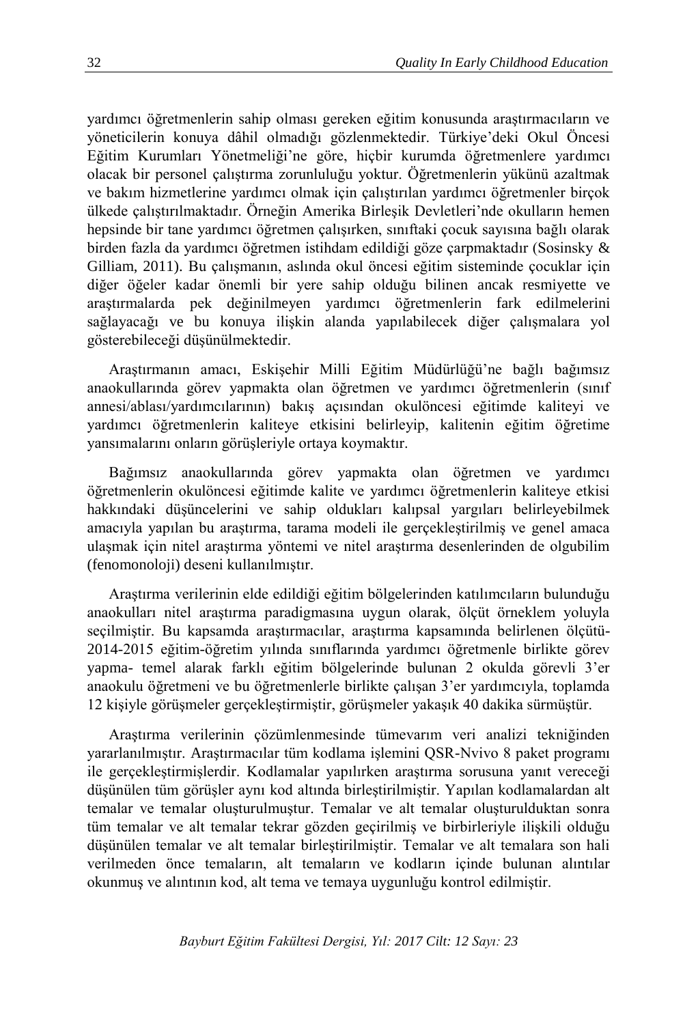yardımcı öğretmenlerin sahip olması gereken eğitim konusunda araştırmacıların ve yöneticilerin konuya dâhil olmadığı gözlenmektedir. Türkiye'deki Okul Öncesi Eğitim Kurumları Yönetmeliği'ne göre, hiçbir kurumda öğretmenlere yardımcı olacak bir personel çalıştırma zorunluluğu yoktur. Öğretmenlerin yükünü azaltmak ve bakım hizmetlerine yardımcı olmak için çalıştırılan yardımcı öğretmenler birçok ülkede çalıştırılmaktadır. Örneğin Amerika Birleşik Devletleri'nde okulların hemen hepsinde bir tane yardımcı öğretmen çalışırken, sınıftaki çocuk sayısına bağlı olarak birden fazla da yardımcı öğretmen istihdam edildiği göze çarpmaktadır (Sosinsky & Gilliam, 2011). Bu çalışmanın, aslında okul öncesi eğitim sisteminde çocuklar için diğer öğeler kadar önemli bir yere sahip olduğu bilinen ancak resmiyette ve araştırmalarda pek değinilmeyen yardımcı öğretmenlerin fark edilmelerini sağlayacağı ve bu konuya ilişkin alanda yapılabilecek diğer çalışmalara yol gösterebileceği düşünülmektedir.

Araştırmanın amacı, Eskişehir Milli Eğitim Müdürlüğü'ne bağlı bağımsız anaokullarında görev yapmakta olan öğretmen ve yardımcı öğretmenlerin (sınıf annesi/ablası/yardımcılarının) bakış açısından okulöncesi eğitimde kaliteyi ve yardımcı öğretmenlerin kaliteye etkisini belirleyip, kalitenin eğitim öğretime yansımalarını onların görüşleriyle ortaya koymaktır.

Bağımsız anaokullarında görev yapmakta olan öğretmen ve yardımcı öğretmenlerin okulöncesi eğitimde kalite ve yardımcı öğretmenlerin kaliteye etkisi hakkındaki düşüncelerini ve sahip oldukları kalıpsal yargıları belirleyebilmek amacıyla yapılan bu araştırma, tarama modeli ile gerçekleştirilmiş ve genel amaca ulaşmak için nitel araştırma yöntemi ve nitel araştırma desenlerinden de olgubilim (fenomonoloji) deseni kullanılmıştır.

Araştırma verilerinin elde edildiği eğitim bölgelerinden katılımcıların bulunduğu anaokulları nitel araştırma paradigmasına uygun olarak, ölçüt örneklem yoluyla seçilmiştir. Bu kapsamda araştırmacılar, araştırma kapsamında belirlenen ölçütü-2014-2015 eğitim-öğretim yılında sınıflarında yardımcı öğretmenle birlikte görev yapma- temel alarak farklı eğitim bölgelerinde bulunan 2 okulda görevli 3'er anaokulu öğretmeni ve bu öğretmenlerle birlikte çalışan 3'er yardımcıyla, toplamda 12 kişiyle görüşmeler gerçekleştirmiştir, görüşmeler yakaşık 40 dakika sürmüştür.

Araştırma verilerinin çözümlenmesinde tümevarım veri analizi tekniğinden yararlanılmıştır. Araştırmacılar tüm kodlama işlemini QSR-Nvivo 8 paket programı ile gerçekleştirmişlerdir. Kodlamalar yapılırken araştırma sorusuna yanıt vereceği düşünülen tüm görüşler aynı kod altında birleştirilmiştir. Yapılan kodlamalardan alt temalar ve temalar oluşturulmuştur. Temalar ve alt temalar oluşturulduktan sonra tüm temalar ve alt temalar tekrar gözden geçirilmiş ve birbirleriyle ilişkili olduğu düşünülen temalar ve alt temalar birleştirilmiştir. Temalar ve alt temalara son hali verilmeden önce temaların, alt temaların ve kodların içinde bulunan alıntılar okunmuş ve alıntının kod, alt tema ve temaya uygunluğu kontrol edilmiştir.